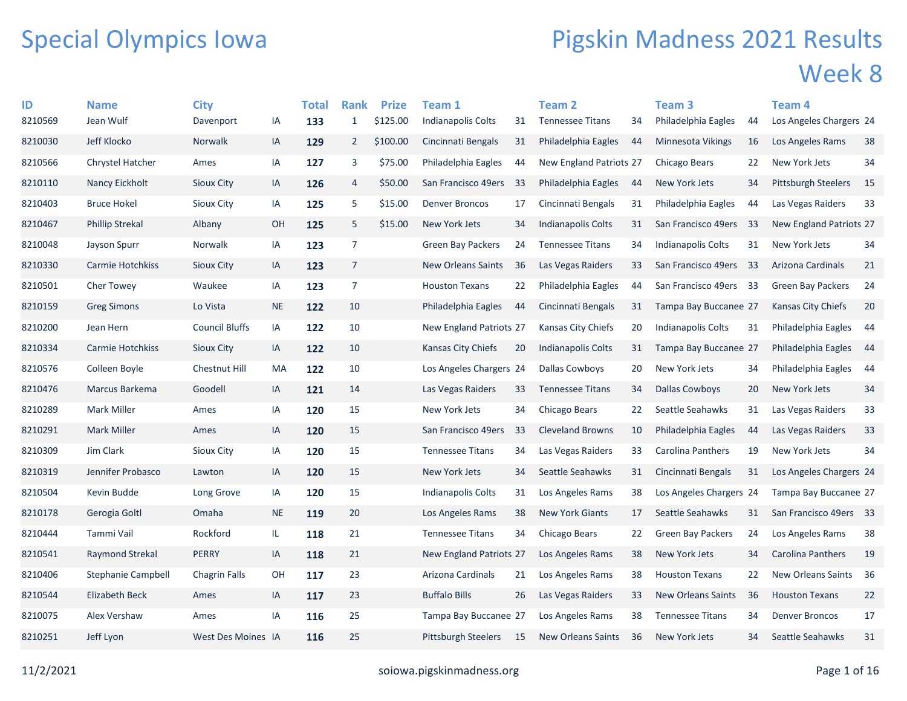## Special Olympics Iowa

## Pigskin Madness 2021 Results Week 8

| ID      | <b>Name</b>            | <b>City</b>           |           | Total | <b>Rank</b>    | <b>Prize</b> | <b>Team 1</b>             |     | <b>Team 2</b>             |     | Team 3                   |     | Team 4                     |     |
|---------|------------------------|-----------------------|-----------|-------|----------------|--------------|---------------------------|-----|---------------------------|-----|--------------------------|-----|----------------------------|-----|
| 8210569 | Jean Wulf              | Davenport             | IA        | 133   | $\mathbf{1}$   | \$125.00     | Indianapolis Colts        | 31  | <b>Tennessee Titans</b>   | 34  | Philadelphia Eagles      | 44  | Los Angeles Chargers 24    |     |
| 8210030 | Jeff Klocko            | <b>Norwalk</b>        | IA        | 129   | $\overline{2}$ | \$100.00     | Cincinnati Bengals        | 31  | Philadelphia Eagles       | -44 | <b>Minnesota Vikings</b> | 16  | Los Angeles Rams           | 38  |
| 8210566 | Chrystel Hatcher       | Ames                  | IA        | 127   | 3              | \$75.00      | Philadelphia Eagles       | 44  | New England Patriots 27   |     | Chicago Bears            | 22  | New York Jets              | 34  |
| 8210110 | Nancy Eickholt         | <b>Sioux City</b>     | IA        | 126   | 4              | \$50.00      | San Francisco 49ers       | 33  | Philadelphia Eagles       | 44  | New York Jets            | 34  | <b>Pittsburgh Steelers</b> | 15  |
| 8210403 | <b>Bruce Hokel</b>     | Sioux City            | IA        | 125   | 5              | \$15.00      | <b>Denver Broncos</b>     | 17  | Cincinnati Bengals        | 31  | Philadelphia Eagles      | 44  | Las Vegas Raiders          | 33  |
| 8210467 | <b>Phillip Strekal</b> | Albany                | OH        | 125   | 5              | \$15.00      | New York Jets             | 34  | <b>Indianapolis Colts</b> | 31  | San Francisco 49ers      | -33 | New England Patriots 27    |     |
| 8210048 | Jayson Spurr           | Norwalk               | IA        | 123   | 7              |              | Green Bay Packers         | 24  | <b>Tennessee Titans</b>   | 34  | Indianapolis Colts       | 31  | New York Jets              | 34  |
| 8210330 | Carmie Hotchkiss       | Sioux City            | IA        | 123   | 7              |              | <b>New Orleans Saints</b> | 36  | Las Vegas Raiders         | 33  | San Francisco 49ers      | -33 | Arizona Cardinals          | 21  |
| 8210501 | <b>Cher Towey</b>      | Waukee                | IA        | 123   | 7              |              | <b>Houston Texans</b>     | 22  | Philadelphia Eagles       | 44  | San Francisco 49ers      | 33  | <b>Green Bay Packers</b>   | 24  |
| 8210159 | <b>Greg Simons</b>     | Lo Vista              | <b>NE</b> | 122   | 10             |              | Philadelphia Eagles       | 44  | Cincinnati Bengals        | 31  | Tampa Bay Buccanee 27    |     | Kansas City Chiefs         | 20  |
| 8210200 | Jean Hern              | <b>Council Bluffs</b> | IA        | 122   | 10             |              | New England Patriots 27   |     | Kansas City Chiefs        | 20  | Indianapolis Colts       | 31  | Philadelphia Eagles        | 44  |
| 8210334 | Carmie Hotchkiss       | <b>Sioux City</b>     | IA        | 122   | 10             |              | Kansas City Chiefs        | 20  | <b>Indianapolis Colts</b> | 31  | Tampa Bay Buccanee 27    |     | Philadelphia Eagles        | -44 |
| 8210576 | Colleen Boyle          | Chestnut Hill         | MA        | 122   | 10             |              | Los Angeles Chargers 24   |     | Dallas Cowboys            | 20  | New York Jets            | 34  | Philadelphia Eagles        | 44  |
| 8210476 | Marcus Barkema         | Goodell               | IA        | 121   | 14             |              | Las Vegas Raiders         | 33  | <b>Tennessee Titans</b>   | 34  | <b>Dallas Cowboys</b>    | 20  | New York Jets              | 34  |
| 8210289 | <b>Mark Miller</b>     | Ames                  | IA        | 120   | 15             |              | New York Jets             | 34  | Chicago Bears             | 22  | Seattle Seahawks         | 31  | Las Vegas Raiders          | 33  |
| 8210291 | <b>Mark Miller</b>     | Ames                  | IA        | 120   | 15             |              | San Francisco 49ers       | 33  | <b>Cleveland Browns</b>   | 10  | Philadelphia Eagles      | 44  | Las Vegas Raiders          | 33  |
| 8210309 | Jim Clark              | <b>Sioux City</b>     | IA        | 120   | 15             |              | <b>Tennessee Titans</b>   | 34  | Las Vegas Raiders         | 33  | Carolina Panthers        | 19  | New York Jets              | 34  |
| 8210319 | Jennifer Probasco      | Lawton                | IA        | 120   | 15             |              | New York Jets             | 34  | Seattle Seahawks          | 31  | Cincinnati Bengals       | 31  | Los Angeles Chargers 24    |     |
| 8210504 | Kevin Budde            | Long Grove            | IA        | 120   | 15             |              | Indianapolis Colts        | 31  | Los Angeles Rams          | 38  | Los Angeles Chargers 24  |     | Tampa Bay Buccanee 27      |     |
| 8210178 | Gerogia Goltl          | Omaha                 | <b>NE</b> | 119   | 20             |              | Los Angeles Rams          | 38  | <b>New York Giants</b>    | 17  | Seattle Seahawks         | 31  | San Francisco 49ers 33     |     |
| 8210444 | Tammi Vail             | Rockford              | IL.       | 118   | 21             |              | <b>Tennessee Titans</b>   | 34  | Chicago Bears             | 22  | <b>Green Bay Packers</b> | 24  | Los Angeles Rams           | 38  |
| 8210541 | <b>Raymond Strekal</b> | <b>PERRY</b>          | IA        | 118   | 21             |              | New England Patriots 27   |     | Los Angeles Rams          | 38  | New York Jets            | 34  | Carolina Panthers          | 19  |
| 8210406 | Stephanie Campbell     | <b>Chagrin Falls</b>  | OН        | 117   | 23             |              | Arizona Cardinals         | 21  | Los Angeles Rams          | 38  | <b>Houston Texans</b>    | 22  | New Orleans Saints         | 36  |
| 8210544 | Elizabeth Beck         | Ames                  | IA        | 117   | 23             |              | <b>Buffalo Bills</b>      | 26  | Las Vegas Raiders         | 33  | New Orleans Saints       | 36  | <b>Houston Texans</b>      | 22  |
| 8210075 | Alex Vershaw           | Ames                  | IA        | 116   | 25             |              | Tampa Bay Buccanee 27     |     | Los Angeles Rams          | 38  | <b>Tennessee Titans</b>  | 34  | <b>Denver Broncos</b>      | 17  |
| 8210251 | Jeff Lyon              | West Des Moines IA    |           | 116   | 25             |              | Pittsburgh Steelers       | -15 | <b>New Orleans Saints</b> | 36  | <b>New York Jets</b>     | 34  | <b>Seattle Seahawks</b>    | 31  |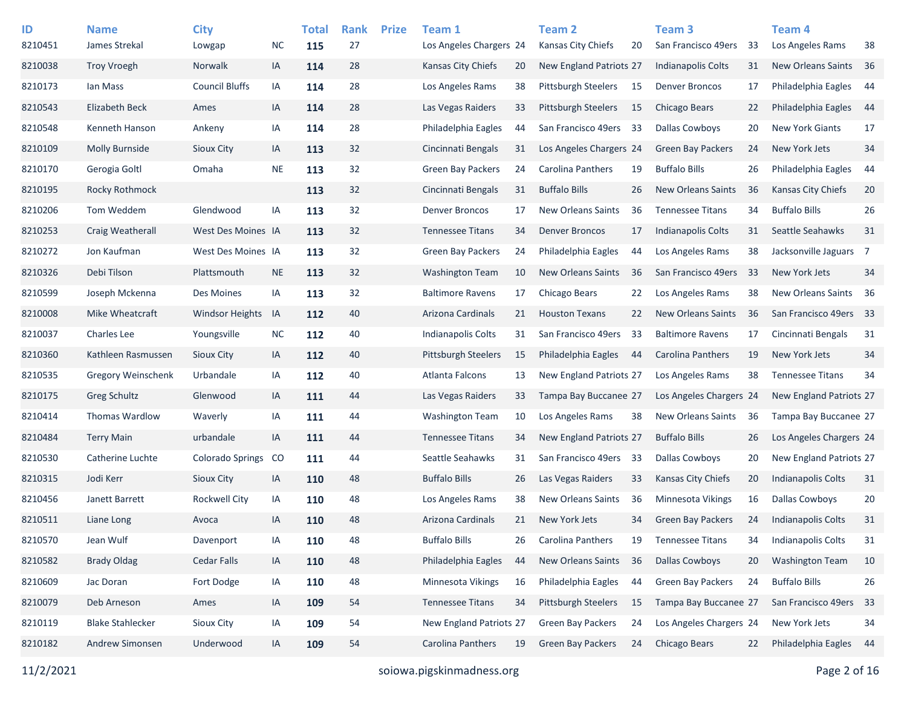| ID      | <b>Name</b>               | <b>City</b>             |           | <b>Total</b> | <b>Rank</b> | <b>Prize</b> | Team 1                     |    | <b>Team 2</b>                  |    | Team <sub>3</sub>         |     | <b>Team 4</b>             |      |
|---------|---------------------------|-------------------------|-----------|--------------|-------------|--------------|----------------------------|----|--------------------------------|----|---------------------------|-----|---------------------------|------|
| 8210451 | James Strekal             | Lowgap                  | <b>NC</b> | 115          | 27          |              | Los Angeles Chargers 24    |    | Kansas City Chiefs             | 20 | San Francisco 49ers       | -33 | Los Angeles Rams          | 38   |
| 8210038 | <b>Troy Vroegh</b>        | Norwalk                 | IA        | 114          | 28          |              | Kansas City Chiefs         | 20 | New England Patriots 27        |    | Indianapolis Colts        | 31  | <b>New Orleans Saints</b> | - 36 |
| 8210173 | lan Mass                  | <b>Council Bluffs</b>   | IA        | 114          | 28          |              | Los Angeles Rams           | 38 | <b>Pittsburgh Steelers</b>     | 15 | <b>Denver Broncos</b>     | 17  | Philadelphia Eagles       | -44  |
| 8210543 | <b>Elizabeth Beck</b>     | Ames                    | IA        | 114          | 28          |              | Las Vegas Raiders          | 33 | <b>Pittsburgh Steelers</b>     | 15 | Chicago Bears             | 22  | Philadelphia Eagles       | -44  |
| 8210548 | Kenneth Hanson            | Ankeny                  | IA        | 114          | 28          |              | Philadelphia Eagles        | 44 | San Francisco 49ers            | 33 | <b>Dallas Cowboys</b>     | 20  | <b>New York Giants</b>    | 17   |
| 8210109 | Molly Burnside            | Sioux City              | IA        | 113          | 32          |              | Cincinnati Bengals         | 31 | Los Angeles Chargers 24        |    | <b>Green Bay Packers</b>  | 24  | New York Jets             | 34   |
| 8210170 | Gerogia Goltl             | Omaha                   | <b>NE</b> | 113          | 32          |              | <b>Green Bay Packers</b>   | 24 | Carolina Panthers              | 19 | <b>Buffalo Bills</b>      | 26  | Philadelphia Eagles       | 44   |
| 8210195 | Rocky Rothmock            |                         |           | 113          | 32          |              | Cincinnati Bengals         | 31 | <b>Buffalo Bills</b>           | 26 | <b>New Orleans Saints</b> | 36  | <b>Kansas City Chiefs</b> | 20   |
| 8210206 | Tom Weddem                | Glendwood               | IA        | 113          | 32          |              | <b>Denver Broncos</b>      | 17 | <b>New Orleans Saints</b>      | 36 | <b>Tennessee Titans</b>   | 34  | <b>Buffalo Bills</b>      | 26   |
| 8210253 | Craig Weatherall          | West Des Moines IA      |           | 113          | 32          |              | <b>Tennessee Titans</b>    | 34 | <b>Denver Broncos</b>          | 17 | Indianapolis Colts        | 31  | Seattle Seahawks          | 31   |
| 8210272 | Jon Kaufman               | West Des Moines IA      |           | 113          | 32          |              | <b>Green Bay Packers</b>   | 24 | Philadelphia Eagles            | 44 | Los Angeles Rams          | 38  | Jacksonville Jaguars 7    |      |
| 8210326 | Debi Tilson               | Plattsmouth             | <b>NE</b> | 113          | 32          |              | <b>Washington Team</b>     | 10 | <b>New Orleans Saints</b>      | 36 | San Francisco 49ers       | 33  | New York Jets             | 34   |
| 8210599 | Joseph Mckenna            | Des Moines              | IA        | 113          | 32          |              | <b>Baltimore Ravens</b>    | 17 | Chicago Bears                  | 22 | Los Angeles Rams          | 38  | New Orleans Saints        | - 36 |
| 8210008 | Mike Wheatcraft           | <b>Windsor Heights</b>  | IA        | 112          | 40          |              | Arizona Cardinals          | 21 | <b>Houston Texans</b>          | 22 | <b>New Orleans Saints</b> | 36  | San Francisco 49ers 33    |      |
| 8210037 | <b>Charles Lee</b>        | Youngsville             | <b>NC</b> | 112          | 40          |              | <b>Indianapolis Colts</b>  | 31 | San Francisco 49ers            | 33 | <b>Baltimore Ravens</b>   | 17  | Cincinnati Bengals        | 31   |
| 8210360 | Kathleen Rasmussen        | Sioux City              | IA        | 112          | 40          |              | <b>Pittsburgh Steelers</b> | 15 | Philadelphia Eagles            | 44 | <b>Carolina Panthers</b>  | 19  | New York Jets             | 34   |
| 8210535 | <b>Gregory Weinschenk</b> | Urbandale               | IA        | 112          | 40          |              | Atlanta Falcons            | 13 | New England Patriots 27        |    | Los Angeles Rams          | 38  | <b>Tennessee Titans</b>   | 34   |
| 8210175 | Greg Schultz              | Glenwood                | IA        | 111          | 44          |              | Las Vegas Raiders          | 33 | Tampa Bay Buccanee 27          |    | Los Angeles Chargers 24   |     | New England Patriots 27   |      |
| 8210414 | <b>Thomas Wardlow</b>     | Waverly                 | IA        | 111          | 44          |              | <b>Washington Team</b>     | 10 | Los Angeles Rams               | 38 | New Orleans Saints        | -36 | Tampa Bay Buccanee 27     |      |
| 8210484 | <b>Terry Main</b>         | urbandale               | IA        | 111          | 44          |              | <b>Tennessee Titans</b>    | 34 | <b>New England Patriots 27</b> |    | <b>Buffalo Bills</b>      | 26  | Los Angeles Chargers 24   |      |
| 8210530 | Catherine Luchte          | <b>Colorado Springs</b> | CO        | 111          | 44          |              | Seattle Seahawks           | 31 | San Francisco 49ers            | 33 | Dallas Cowboys            | 20  | New England Patriots 27   |      |
| 8210315 | Jodi Kerr                 | Sioux City              | IA        | 110          | 48          |              | <b>Buffalo Bills</b>       | 26 | Las Vegas Raiders              | 33 | Kansas City Chiefs        | 20  | <b>Indianapolis Colts</b> | 31   |
| 8210456 | Janett Barrett            | <b>Rockwell City</b>    | IA        | 110          | 48          |              | Los Angeles Rams           | 38 | <b>New Orleans Saints</b>      | 36 | Minnesota Vikings         | 16  | <b>Dallas Cowboys</b>     | 20   |
| 8210511 | Liane Long                | Avoca                   | IA        | 110          | 48          |              | Arizona Cardinals          | 21 | New York Jets                  | 34 | <b>Green Bay Packers</b>  | 24  | <b>Indianapolis Colts</b> | 31   |
| 8210570 | Jean Wulf                 | Davenport               | IA        | 110          | 48          |              | <b>Buffalo Bills</b>       | 26 | Carolina Panthers              | 19 | <b>Tennessee Titans</b>   | 34  | Indianapolis Colts        | 31   |
| 8210582 | <b>Brady Oldag</b>        | Cedar Falls             | IA        | 110          | 48          |              | Philadelphia Eagles        | 44 | New Orleans Saints             | 36 | <b>Dallas Cowboys</b>     | 20  | <b>Washington Team</b>    | 10   |
| 8210609 | Jac Doran                 | Fort Dodge              | IA        | 110          | 48          |              | Minnesota Vikings          | 16 | Philadelphia Eagles            | 44 | <b>Green Bay Packers</b>  | 24  | <b>Buffalo Bills</b>      | 26   |
| 8210079 | Deb Arneson               | Ames                    | IA        | 109          | 54          |              | <b>Tennessee Titans</b>    | 34 | Pittsburgh Steelers            | 15 | Tampa Bay Buccanee 27     |     | San Francisco 49ers       | 33   |
| 8210119 | <b>Blake Stahlecker</b>   | Sioux City              | IA        | 109          | 54          |              | New England Patriots 27    |    | Green Bay Packers              | 24 | Los Angeles Chargers 24   |     | New York Jets             | 34   |
| 8210182 | Andrew Simonsen           | Underwood               | IA        | 109          | 54          |              | Carolina Panthers          | 19 | Green Bay Packers              | 24 | Chicago Bears             | 22  | Philadelphia Eagles       | 44   |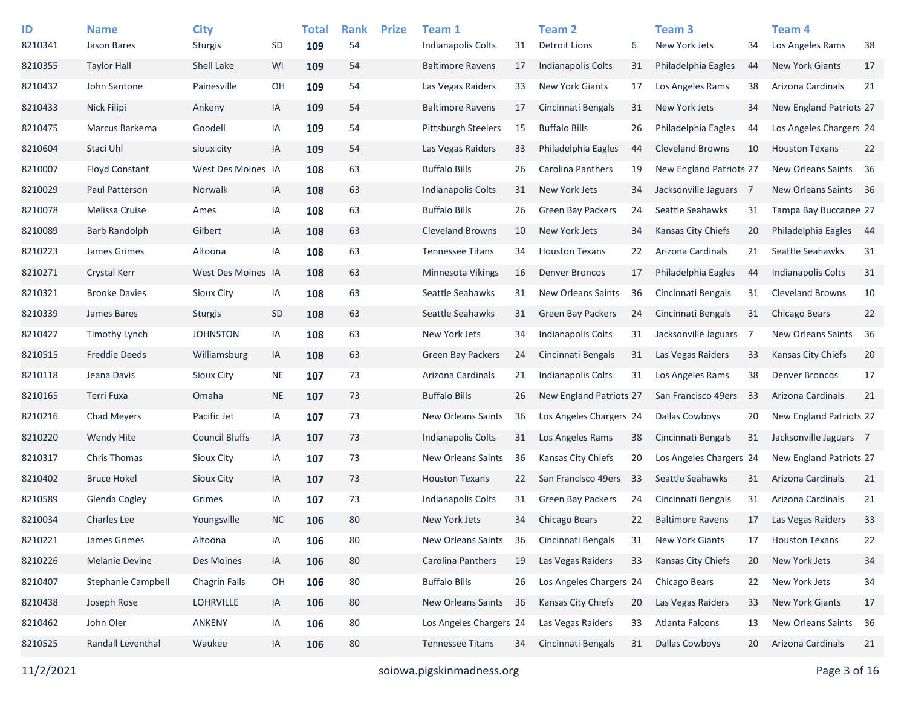| ID<br>8210341 | <b>Name</b><br><b>Jason Bares</b> | <b>City</b><br><b>Sturgis</b> | SD        | <b>Total</b><br>109 | <b>Rank</b><br>54 | <b>Prize</b> | Team 1<br><b>Indianapolis Colts</b> | 31 | <b>Team 2</b><br><b>Detroit Lions</b> | 6   | Team <sub>3</sub><br>New York Jets | 34  | Team 4<br>Los Angeles Rams | 38   |
|---------------|-----------------------------------|-------------------------------|-----------|---------------------|-------------------|--------------|-------------------------------------|----|---------------------------------------|-----|------------------------------------|-----|----------------------------|------|
| 8210355       | <b>Taylor Hall</b>                | Shell Lake                    | WI        | 109                 | 54                |              | <b>Baltimore Ravens</b>             | 17 | <b>Indianapolis Colts</b>             | 31  | Philadelphia Eagles                | 44  | <b>New York Giants</b>     | 17   |
| 8210432       | John Santone                      | Painesville                   | OH        | 109                 | 54                |              | Las Vegas Raiders                   | 33 | <b>New York Giants</b>                | 17  | Los Angeles Rams                   | 38  | Arizona Cardinals          | 21   |
| 8210433       | <b>Nick Filipi</b>                | Ankeny                        | IA        | 109                 | 54                |              | <b>Baltimore Ravens</b>             | 17 | Cincinnati Bengals                    | 31  | New York Jets                      | 34  | New England Patriots 27    |      |
| 8210475       | Marcus Barkema                    | Goodell                       | IA        | 109                 | 54                |              | <b>Pittsburgh Steelers</b>          | 15 | <b>Buffalo Bills</b>                  | 26  | Philadelphia Eagles                | 44  | Los Angeles Chargers 24    |      |
| 8210604       | Staci Uhl                         | sioux city                    | IA        | 109                 | 54                |              | Las Vegas Raiders                   | 33 | Philadelphia Eagles                   | 44  | <b>Cleveland Browns</b>            | 10  | <b>Houston Texans</b>      | 22   |
| 8210007       | <b>Floyd Constant</b>             | West Des Moines IA            |           | 108                 | 63                |              | <b>Buffalo Bills</b>                | 26 | <b>Carolina Panthers</b>              | 19  | New England Patriots 27            |     | New Orleans Saints 36      |      |
| 8210029       | Paul Patterson                    | Norwalk                       | IA        | 108                 | 63                |              | Indianapolis Colts                  | 31 | New York Jets                         | 34  | Jacksonville Jaguars 7             |     | New Orleans Saints         | - 36 |
| 8210078       | Melissa Cruise                    | Ames                          | IA        | 108                 | 63                |              | <b>Buffalo Bills</b>                | 26 | <b>Green Bay Packers</b>              | 24  | Seattle Seahawks                   | 31  | Tampa Bay Buccanee 27      |      |
| 8210089       | Barb Randolph                     | Gilbert                       | IA        | 108                 | 63                |              | <b>Cleveland Browns</b>             | 10 | New York Jets                         | 34  | Kansas City Chiefs                 | 20  | Philadelphia Eagles        | - 44 |
| 8210223       | James Grimes                      | Altoona                       | IA        | 108                 | 63                |              | <b>Tennessee Titans</b>             | 34 | <b>Houston Texans</b>                 | 22  | Arizona Cardinals                  | 21  | Seattle Seahawks           | 31   |
| 8210271       | <b>Crystal Kerr</b>               | West Des Moines IA            |           | 108                 | 63                |              | <b>Minnesota Vikings</b>            | 16 | <b>Denver Broncos</b>                 | 17  | Philadelphia Eagles                | 44  | <b>Indianapolis Colts</b>  | 31   |
| 8210321       | <b>Brooke Davies</b>              | <b>Sioux City</b>             | IA        | 108                 | 63                |              | Seattle Seahawks                    | 31 | <b>New Orleans Saints</b>             | 36  | Cincinnati Bengals                 | 31  | <b>Cleveland Browns</b>    | 10   |
| 8210339       | James Bares                       | <b>Sturgis</b>                | SD        | 108                 | 63                |              | Seattle Seahawks                    | 31 | <b>Green Bay Packers</b>              | 24  | Cincinnati Bengals                 | 31  | Chicago Bears              | 22   |
| 8210427       | <b>Timothy Lynch</b>              | <b>JOHNSTON</b>               | IA        | 108                 | 63                |              | New York Jets                       | 34 | <b>Indianapolis Colts</b>             | 31  | Jacksonville Jaguars               | - 7 | New Orleans Saints         | - 36 |
| 8210515       | <b>Freddie Deeds</b>              | Williamsburg                  | IA        | 108                 | 63                |              | Green Bay Packers                   | 24 | Cincinnati Bengals                    | 31  | Las Vegas Raiders                  | 33  | Kansas City Chiefs         | 20   |
| 8210118       | Jeana Davis                       | <b>Sioux City</b>             | <b>NE</b> | 107                 | 73                |              | Arizona Cardinals                   | 21 | <b>Indianapolis Colts</b>             | 31  | Los Angeles Rams                   | 38  | <b>Denver Broncos</b>      | 17   |
| 8210165       | Terri Fuxa                        | Omaha                         | <b>NE</b> | 107                 | 73                |              | <b>Buffalo Bills</b>                | 26 | New England Patriots 27               |     | San Francisco 49ers                | 33  | Arizona Cardinals          | 21   |
| 8210216       | <b>Chad Meyers</b>                | Pacific Jet                   | IA        | 107                 | 73                |              | <b>New Orleans Saints</b>           | 36 | Los Angeles Chargers 24               |     | <b>Dallas Cowboys</b>              | 20  | New England Patriots 27    |      |
| 8210220       | Wendy Hite                        | <b>Council Bluffs</b>         | IA        | 107                 | 73                |              | Indianapolis Colts                  | 31 | Los Angeles Rams                      | 38  | Cincinnati Bengals                 | 31  | Jacksonville Jaguars 7     |      |
| 8210317       | <b>Chris Thomas</b>               | <b>Sioux City</b>             | IA        | 107                 | 73                |              | <b>New Orleans Saints</b>           | 36 | <b>Kansas City Chiefs</b>             | 20  | Los Angeles Chargers 24            |     | New England Patriots 27    |      |
| 8210402       | <b>Bruce Hokel</b>                | Sioux City                    | IA        | 107                 | 73                |              | <b>Houston Texans</b>               | 22 | San Francisco 49ers                   | -33 | Seattle Seahawks                   | 31  | <b>Arizona Cardinals</b>   | 21   |
| 8210589       | Glenda Cogley                     | Grimes                        | IA        | 107                 | 73                |              | <b>Indianapolis Colts</b>           | 31 | <b>Green Bay Packers</b>              | 24  | Cincinnati Bengals                 | 31  | Arizona Cardinals          | 21   |
| 8210034       | <b>Charles Lee</b>                | Youngsville                   | <b>NC</b> | 106                 | 80                |              | New York Jets                       | 34 | <b>Chicago Bears</b>                  | 22  | <b>Baltimore Ravens</b>            | 17  | Las Vegas Raiders          | 33   |
| 8210221       | James Grimes                      | Altoona                       | IA        | 106                 | 80                |              | New Orleans Saints                  | 36 | Cincinnati Bengals                    | 31  | <b>New York Giants</b>             | 17  | <b>Houston Texans</b>      | 22   |
| 8210226       | Melanie Devine                    | Des Moines                    | IA        | 106                 | 80                |              | Carolina Panthers                   | 19 | Las Vegas Raiders                     | 33  | Kansas City Chiefs                 | 20  | New York Jets              | 34   |
| 8210407       | <b>Stephanie Campbell</b>         | <b>Chagrin Falls</b>          | OH        | 106                 | 80                |              | <b>Buffalo Bills</b>                | 26 | Los Angeles Chargers 24               |     | Chicago Bears                      | 22  | New York Jets              | 34   |
| 8210438       | Joseph Rose                       | LOHRVILLE                     | IA        | 106                 | 80                |              | New Orleans Saints                  | 36 | Kansas City Chiefs                    | 20  | Las Vegas Raiders                  | 33  | New York Giants            | 17   |
| 8210462       | John Oler                         | <b>ANKENY</b>                 | IA        | 106                 | 80                |              | Los Angeles Chargers 24             |    | Las Vegas Raiders                     | 33  | Atlanta Falcons                    | 13  | New Orleans Saints         | 36   |
| 8210525       | Randall Leventhal                 | Waukee                        | IA        | 106                 | 80                |              | <b>Tennessee Titans</b>             | 34 | Cincinnati Bengals                    | 31  | <b>Dallas Cowboys</b>              | 20  | Arizona Cardinals          | 21   |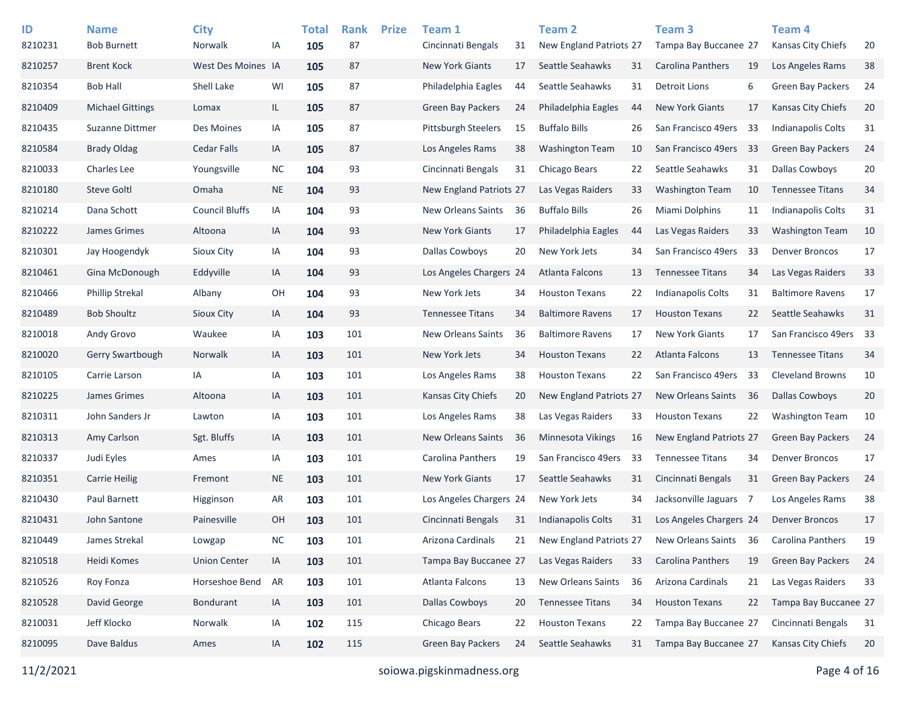| ID      | <b>Name</b>             | <b>City</b>           |           | <b>Total</b> | <b>Rank</b> | <b>Prize</b> | Team 1                     |     | <b>Team 2</b>             |    | Team <sub>3</sub>         |     | <b>Team 4</b>             |    |
|---------|-------------------------|-----------------------|-----------|--------------|-------------|--------------|----------------------------|-----|---------------------------|----|---------------------------|-----|---------------------------|----|
| 8210231 | <b>Bob Burnett</b>      | Norwalk               | IA        | 105          | 87          |              | Cincinnati Bengals         | 31  | New England Patriots 27   |    | Tampa Bay Buccanee 27     |     | Kansas City Chiefs        | 20 |
| 8210257 | <b>Brent Kock</b>       | West Des Moines IA    |           | 105          | 87          |              | <b>New York Giants</b>     | 17  | Seattle Seahawks          | 31 | <b>Carolina Panthers</b>  | 19  | Los Angeles Rams          | 38 |
| 8210354 | <b>Bob Hall</b>         | Shell Lake            | WI        | 105          | 87          |              | Philadelphia Eagles        | 44  | Seattle Seahawks          | 31 | <b>Detroit Lions</b>      | 6   | <b>Green Bay Packers</b>  | 24 |
| 8210409 | <b>Michael Gittings</b> | Lomax                 | IL.       | 105          | 87          |              | Green Bay Packers          | 24  | Philadelphia Eagles       | 44 | <b>New York Giants</b>    | 17  | <b>Kansas City Chiefs</b> | 20 |
| 8210435 | Suzanne Dittmer         | Des Moines            | IA        | 105          | 87          |              | <b>Pittsburgh Steelers</b> | 15  | <b>Buffalo Bills</b>      | 26 | San Francisco 49ers       | 33  | <b>Indianapolis Colts</b> | 31 |
| 8210584 | <b>Brady Oldag</b>      | Cedar Falls           | IA        | 105          | 87          |              | Los Angeles Rams           | 38  | <b>Washington Team</b>    | 10 | San Francisco 49ers       | -33 | <b>Green Bay Packers</b>  | 24 |
| 8210033 | Charles Lee             | Youngsville           | <b>NC</b> | 104          | 93          |              | Cincinnati Bengals         | 31  | Chicago Bears             | 22 | Seattle Seahawks          | 31  | <b>Dallas Cowboys</b>     | 20 |
| 8210180 | <b>Steve Goltl</b>      | Omaha                 | <b>NE</b> | 104          | 93          |              | New England Patriots 27    |     | Las Vegas Raiders         | 33 | <b>Washington Team</b>    | 10  | <b>Tennessee Titans</b>   | 34 |
| 8210214 | Dana Schott             | <b>Council Bluffs</b> | IA        | 104          | 93          |              | New Orleans Saints         | 36  | <b>Buffalo Bills</b>      | 26 | Miami Dolphins            | 11  | <b>Indianapolis Colts</b> | 31 |
| 8210222 | James Grimes            | Altoona               | IA        | 104          | 93          |              | New York Giants            | 17  | Philadelphia Eagles       | 44 | Las Vegas Raiders         | 33  | <b>Washington Team</b>    | 10 |
| 8210301 | Jay Hoogendyk           | Sioux City            | IA        | 104          | 93          |              | <b>Dallas Cowboys</b>      | 20  | New York Jets             | 34 | San Francisco 49ers       | -33 | <b>Denver Broncos</b>     | 17 |
| 8210461 | Gina McDonough          | Eddyville             | IA        | 104          | 93          |              | Los Angeles Chargers 24    |     | Atlanta Falcons           | 13 | <b>Tennessee Titans</b>   | 34  | Las Vegas Raiders         | 33 |
| 8210466 | <b>Phillip Strekal</b>  | Albany                | OH        | 104          | 93          |              | New York Jets              | 34  | <b>Houston Texans</b>     | 22 | Indianapolis Colts        | 31  | <b>Baltimore Ravens</b>   | 17 |
| 8210489 | <b>Bob Shoultz</b>      | Sioux City            | IA        | 104          | 93          |              | <b>Tennessee Titans</b>    | 34  | <b>Baltimore Ravens</b>   | 17 | <b>Houston Texans</b>     | 22  | Seattle Seahawks          | 31 |
| 8210018 | Andy Grovo              | Waukee                | IA        | 103          | 101         |              | <b>New Orleans Saints</b>  | 36  | <b>Baltimore Ravens</b>   | 17 | <b>New York Giants</b>    | 17  | San Francisco 49ers 33    |    |
| 8210020 | <b>Gerry Swartbough</b> | Norwalk               | IA        | 103          | 101         |              | New York Jets              | 34  | <b>Houston Texans</b>     | 22 | <b>Atlanta Falcons</b>    | 13  | <b>Tennessee Titans</b>   | 34 |
| 8210105 | Carrie Larson           | IA                    | IA        | 103          | 101         |              | Los Angeles Rams           | 38  | <b>Houston Texans</b>     | 22 | San Francisco 49ers       | 33  | <b>Cleveland Browns</b>   | 10 |
| 8210225 | James Grimes            | Altoona               | IA        | 103          | 101         |              | Kansas City Chiefs         | 20  | New England Patriots 27   |    | <b>New Orleans Saints</b> | -36 | <b>Dallas Cowboys</b>     | 20 |
| 8210311 | John Sanders Jr         | Lawton                | IA        | 103          | 101         |              | Los Angeles Rams           | 38  | Las Vegas Raiders         | 33 | <b>Houston Texans</b>     | 22  | <b>Washington Team</b>    | 10 |
| 8210313 | Amy Carlson             | Sgt. Bluffs           | IA        | 103          | 101         |              | <b>New Orleans Saints</b>  | 36  | <b>Minnesota Vikings</b>  | 16 | New England Patriots 27   |     | <b>Green Bay Packers</b>  | 24 |
| 8210337 | Judi Eyles              | Ames                  | IA        | 103          | 101         |              | Carolina Panthers          | 19  | San Francisco 49ers       | 33 | <b>Tennessee Titans</b>   | 34  | <b>Denver Broncos</b>     | 17 |
| 8210351 | <b>Carrie Heilig</b>    | Fremont               | <b>NE</b> | 103          | 101         |              | <b>New York Giants</b>     | 17  | Seattle Seahawks          | 31 | Cincinnati Bengals        | 31  | <b>Green Bay Packers</b>  | 24 |
| 8210430 | Paul Barnett            | Higginson             | AR        | 103          | 101         |              | Los Angeles Chargers 24    |     | New York Jets             | 34 | Jacksonville Jaguars 7    |     | Los Angeles Rams          | 38 |
| 8210431 | John Santone            | Painesville           | <b>OH</b> | 103          | 101         |              | Cincinnati Bengals         | 31  | <b>Indianapolis Colts</b> | 31 | Los Angeles Chargers 24   |     | <b>Denver Broncos</b>     | 17 |
| 8210449 | James Strekal           | Lowgap                | <b>NC</b> | 103          | 101         |              | Arizona Cardinals          | 21  | New England Patriots 27   |    | <b>New Orleans Saints</b> | 36  | Carolina Panthers         | 19 |
| 8210518 | Heidi Komes             | <b>Union Center</b>   | IA        | 103          | 101         |              | Tampa Bay Buccanee 27      |     | Las Vegas Raiders         | 33 | Carolina Panthers         | 19  | <b>Green Bay Packers</b>  | 24 |
| 8210526 | Roy Fonza               | Horseshoe Bend        | AR        | 103          | 101         |              | Atlanta Falcons            | 13  | <b>New Orleans Saints</b> | 36 | Arizona Cardinals         | 21  | Las Vegas Raiders         | 33 |
| 8210528 | David George            | Bondurant             | IA        | 103          | 101         |              | <b>Dallas Cowboys</b>      | 20  | <b>Tennessee Titans</b>   | 34 | <b>Houston Texans</b>     | 22  | Tampa Bay Buccanee 27     |    |
| 8210031 | Jeff Klocko             | Norwalk               | IA        | 102          | 115         |              | Chicago Bears              | 22  | <b>Houston Texans</b>     | 22 | Tampa Bay Buccanee 27     |     | Cincinnati Bengals        | 31 |
| 8210095 | Dave Baldus             | Ames                  | IA        | 102          | 115         |              | Green Bay Packers          | -24 | Seattle Seahawks          | 31 | Tampa Bay Buccanee 27     |     | Kansas City Chiefs        | 20 |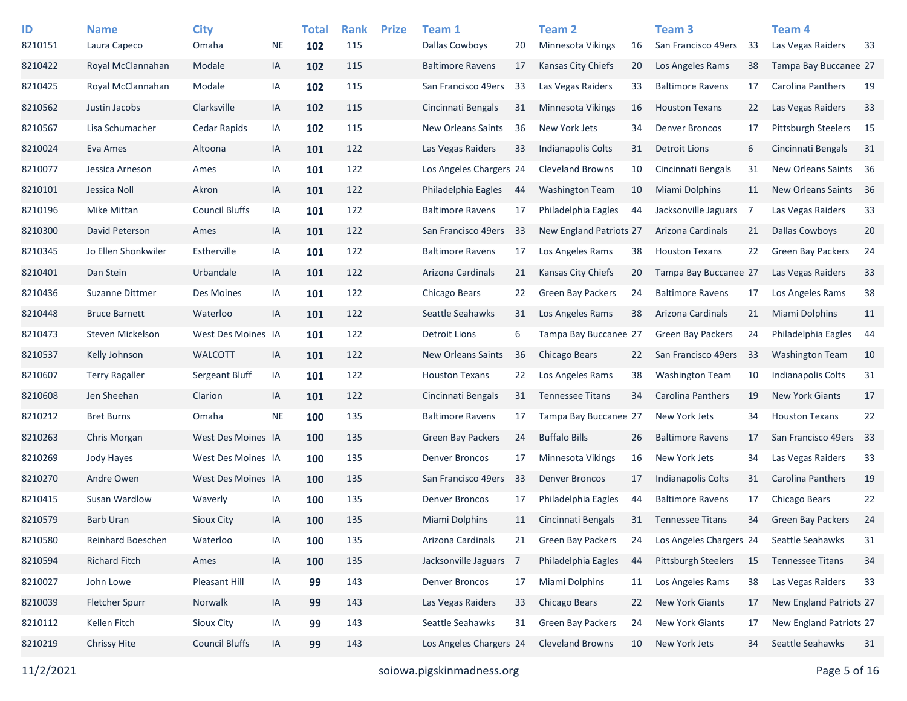| ID      | <b>Name</b>           | <b>City</b>           |           | <b>Total</b> | <b>Rank</b> | <b>Prize</b> | Team 1                  |    | Team 2                    |    | <b>Team 3</b>            |     | Team 4                     |    |
|---------|-----------------------|-----------------------|-----------|--------------|-------------|--------------|-------------------------|----|---------------------------|----|--------------------------|-----|----------------------------|----|
| 8210151 | Laura Capeco          | Omaha                 | <b>NE</b> | 102          | 115         |              | <b>Dallas Cowboys</b>   | 20 | Minnesota Vikings         | 16 | San Francisco 49ers      | 33  | Las Vegas Raiders          | 33 |
| 8210422 | Royal McClannahan     | Modale                | IA        | 102          | 115         |              | <b>Baltimore Ravens</b> | 17 | <b>Kansas City Chiefs</b> | 20 | Los Angeles Rams         | 38  | Tampa Bay Buccanee 27      |    |
| 8210425 | Royal McClannahan     | Modale                | IA        | 102          | 115         |              | San Francisco 49ers     | 33 | Las Vegas Raiders         | 33 | <b>Baltimore Ravens</b>  | 17  | Carolina Panthers          | 19 |
| 8210562 | Justin Jacobs         | Clarksville           | IA        | 102          | 115         |              | Cincinnati Bengals      | 31 | <b>Minnesota Vikings</b>  | 16 | <b>Houston Texans</b>    | 22  | Las Vegas Raiders          | 33 |
| 8210567 | Lisa Schumacher       | Cedar Rapids          | IA        | 102          | 115         |              | New Orleans Saints      | 36 | New York Jets             | 34 | <b>Denver Broncos</b>    | 17  | <b>Pittsburgh Steelers</b> | 15 |
| 8210024 | Eva Ames              | Altoona               | IA        | 101          | 122         |              | Las Vegas Raiders       | 33 | Indianapolis Colts        | 31 | <b>Detroit Lions</b>     | 6   | Cincinnati Bengals         | 31 |
| 8210077 | Jessica Arneson       | Ames                  | IA        | 101          | 122         |              | Los Angeles Chargers 24 |    | <b>Cleveland Browns</b>   | 10 | Cincinnati Bengals       | 31  | New Orleans Saints         | 36 |
| 8210101 | Jessica Noll          | Akron                 | IA        | 101          | 122         |              | Philadelphia Eagles     | 44 | <b>Washington Team</b>    | 10 | Miami Dolphins           | 11  | New Orleans Saints         | 36 |
| 8210196 | Mike Mittan           | <b>Council Bluffs</b> | IA        | 101          | 122         |              | <b>Baltimore Ravens</b> | 17 | Philadelphia Eagles       | 44 | Jacksonville Jaguars     | - 7 | Las Vegas Raiders          | 33 |
| 8210300 | David Peterson        | Ames                  | IA        | 101          | 122         |              | San Francisco 49ers     | 33 | New England Patriots 27   |    | Arizona Cardinals        | 21  | <b>Dallas Cowboys</b>      | 20 |
| 8210345 | Jo Ellen Shonkwiler   | Estherville           | IA        | 101          | 122         |              | <b>Baltimore Ravens</b> | 17 | Los Angeles Rams          | 38 | <b>Houston Texans</b>    | 22  | <b>Green Bay Packers</b>   | 24 |
| 8210401 | Dan Stein             | Urbandale             | IA        | 101          | 122         |              | Arizona Cardinals       | 21 | Kansas City Chiefs        | 20 | Tampa Bay Buccanee 27    |     | Las Vegas Raiders          | 33 |
| 8210436 | Suzanne Dittmer       | Des Moines            | IA        | 101          | 122         |              | Chicago Bears           | 22 | <b>Green Bay Packers</b>  | 24 | <b>Baltimore Ravens</b>  | 17  | Los Angeles Rams           | 38 |
| 8210448 | <b>Bruce Barnett</b>  | Waterloo              | IA        | 101          | 122         |              | Seattle Seahawks        | 31 | Los Angeles Rams          | 38 | Arizona Cardinals        | 21  | Miami Dolphins             | 11 |
| 8210473 | Steven Mickelson      | West Des Moines IA    |           | 101          | 122         |              | <b>Detroit Lions</b>    | 6  | Tampa Bay Buccanee 27     |    | <b>Green Bay Packers</b> | 24  | Philadelphia Eagles        | 44 |
| 8210537 | Kelly Johnson         | <b>WALCOTT</b>        | IA        | 101          | 122         |              | New Orleans Saints      | 36 | Chicago Bears             | 22 | San Francisco 49ers      | -33 | <b>Washington Team</b>     | 10 |
| 8210607 | <b>Terry Ragaller</b> | Sergeant Bluff        | IA        | 101          | 122         |              | <b>Houston Texans</b>   | 22 | Los Angeles Rams          | 38 | <b>Washington Team</b>   | 10  | <b>Indianapolis Colts</b>  | 31 |
| 8210608 | Jen Sheehan           | Clarion               | IA        | 101          | 122         |              | Cincinnati Bengals      | 31 | <b>Tennessee Titans</b>   | 34 | Carolina Panthers        | 19  | <b>New York Giants</b>     | 17 |
| 8210212 | <b>Bret Burns</b>     | Omaha                 | <b>NE</b> | 100          | 135         |              | <b>Baltimore Ravens</b> | 17 | Tampa Bay Buccanee 27     |    | New York Jets            | 34  | <b>Houston Texans</b>      | 22 |
| 8210263 | Chris Morgan          | West Des Moines IA    |           | 100          | 135         |              | Green Bay Packers       | 24 | <b>Buffalo Bills</b>      | 26 | <b>Baltimore Ravens</b>  | 17  | San Francisco 49ers 33     |    |
| 8210269 | Jody Hayes            | West Des Moines IA    |           | 100          | 135         |              | <b>Denver Broncos</b>   | 17 | Minnesota Vikings         | 16 | New York Jets            | 34  | Las Vegas Raiders          | 33 |
| 8210270 | Andre Owen            | West Des Moines IA    |           | 100          | 135         |              | San Francisco 49ers     | 33 | <b>Denver Broncos</b>     | 17 | Indianapolis Colts       | 31  | <b>Carolina Panthers</b>   | 19 |
| 8210415 | Susan Wardlow         | Waverly               | IA        | 100          | 135         |              | <b>Denver Broncos</b>   | 17 | Philadelphia Eagles       | 44 | <b>Baltimore Ravens</b>  | 17  | Chicago Bears              | 22 |
| 8210579 | <b>Barb Uran</b>      | Sioux City            | IA        | 100          | 135         |              | Miami Dolphins          | 11 | Cincinnati Bengals        | 31 | <b>Tennessee Titans</b>  | 34  | <b>Green Bay Packers</b>   | 24 |
| 8210580 | Reinhard Boeschen     | Waterloo              | IA        | 100          | 135         |              | Arizona Cardinals       | 21 | <b>Green Bay Packers</b>  | 24 | Los Angeles Chargers 24  |     | Seattle Seahawks           | 31 |
| 8210594 | <b>Richard Fitch</b>  | Ames                  | IA        | 100          | 135         |              | Jacksonville Jaguars 7  |    | Philadelphia Eagles       | 44 | Pittsburgh Steelers      | 15  | <b>Tennessee Titans</b>    | 34 |
| 8210027 | John Lowe             | Pleasant Hill         | IA        | 99           | 143         |              | <b>Denver Broncos</b>   | 17 | Miami Dolphins            | 11 | Los Angeles Rams         | 38  | Las Vegas Raiders          | 33 |
| 8210039 | Fletcher Spurr        | Norwalk               | IA        | 99           | 143         |              | Las Vegas Raiders       | 33 | Chicago Bears             | 22 | New York Giants          | 17  | New England Patriots 27    |    |
| 8210112 | Kellen Fitch          | Sioux City            | IA        | 99           | 143         |              | Seattle Seahawks        | 31 | <b>Green Bay Packers</b>  | 24 | New York Giants          | 17  | New England Patriots 27    |    |
| 8210219 | <b>Chrissy Hite</b>   | <b>Council Bluffs</b> | IA        | 99           | 143         |              | Los Angeles Chargers 24 |    | <b>Cleveland Browns</b>   | 10 | New York Jets            | 34  | Seattle Seahawks           | 31 |
|         |                       |                       |           |              |             |              |                         |    |                           |    |                          |     |                            |    |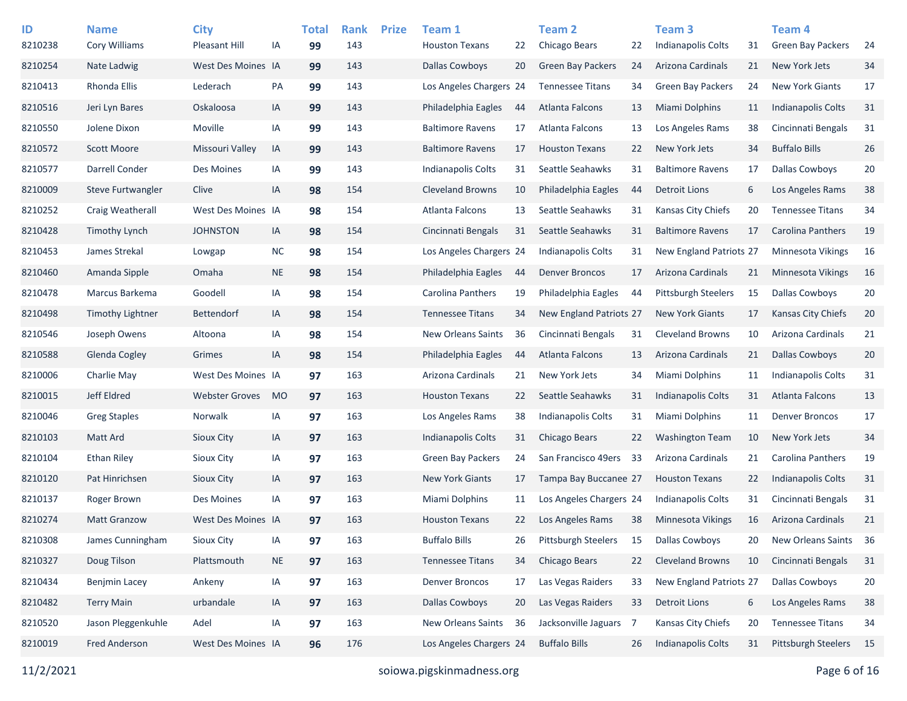| ID<br>8210238 | <b>Name</b><br>Cory Williams | <b>City</b><br>Pleasant Hill | IA        | <b>Total</b><br>99 | <b>Rank</b><br>143 | <b>Prize</b> | Team 1<br><b>Houston Texans</b> | 22 | Team 2<br>Chicago Bears        | 22 | Team <sub>3</sub><br>Indianapolis Colts | 31 | Team 4<br><b>Green Bay Packers</b> | -24 |
|---------------|------------------------------|------------------------------|-----------|--------------------|--------------------|--------------|---------------------------------|----|--------------------------------|----|-----------------------------------------|----|------------------------------------|-----|
| 8210254       | Nate Ladwig                  | West Des Moines IA           |           | 99                 | 143                |              | <b>Dallas Cowboys</b>           | 20 | <b>Green Bay Packers</b>       | 24 | Arizona Cardinals                       | 21 | New York Jets                      | 34  |
| 8210413       | Rhonda Ellis                 | Lederach                     | PA        | 99                 | 143                |              | Los Angeles Chargers 24         |    | <b>Tennessee Titans</b>        | 34 | <b>Green Bay Packers</b>                | 24 | <b>New York Giants</b>             | 17  |
| 8210516       | Jeri Lyn Bares               | Oskaloosa                    | IA        | 99                 | 143                |              | Philadelphia Eagles             | 44 | Atlanta Falcons                | 13 | <b>Miami Dolphins</b>                   | 11 | Indianapolis Colts                 | 31  |
| 8210550       | Jolene Dixon                 | Moville                      | IA        | 99                 | 143                |              | <b>Baltimore Ravens</b>         | 17 | Atlanta Falcons                | 13 | Los Angeles Rams                        | 38 | Cincinnati Bengals                 | 31  |
| 8210572       | <b>Scott Moore</b>           | Missouri Valley              | IA        | 99                 | 143                |              | <b>Baltimore Ravens</b>         | 17 | <b>Houston Texans</b>          | 22 | New York Jets                           | 34 | <b>Buffalo Bills</b>               | 26  |
| 8210577       | Darrell Conder               | Des Moines                   | IA        | 99                 | 143                |              | <b>Indianapolis Colts</b>       | 31 | Seattle Seahawks               | 31 | <b>Baltimore Ravens</b>                 | 17 | <b>Dallas Cowboys</b>              | 20  |
| 8210009       | <b>Steve Furtwangler</b>     | Clive                        | IA        | 98                 | 154                |              | <b>Cleveland Browns</b>         | 10 | Philadelphia Eagles            | 44 | <b>Detroit Lions</b>                    | 6  | Los Angeles Rams                   | 38  |
| 8210252       | Craig Weatherall             | West Des Moines IA           |           | 98                 | 154                |              | Atlanta Falcons                 | 13 | Seattle Seahawks               | 31 | Kansas City Chiefs                      | 20 | <b>Tennessee Titans</b>            | 34  |
| 8210428       | <b>Timothy Lynch</b>         | <b>JOHNSTON</b>              | IA        | 98                 | 154                |              | Cincinnati Bengals              | 31 | Seattle Seahawks               | 31 | <b>Baltimore Ravens</b>                 | 17 | Carolina Panthers                  | 19  |
| 8210453       | James Strekal                | Lowgap                       | <b>NC</b> | 98                 | 154                |              | Los Angeles Chargers 24         |    | <b>Indianapolis Colts</b>      | 31 | <b>New England Patriots 27</b>          |    | Minnesota Vikings                  | 16  |
| 8210460       | Amanda Sipple                | Omaha                        | <b>NE</b> | 98                 | 154                |              | Philadelphia Eagles             | 44 | <b>Denver Broncos</b>          | 17 | Arizona Cardinals                       | 21 | Minnesota Vikings                  | 16  |
| 8210478       | Marcus Barkema               | Goodell                      | IA        | 98                 | 154                |              | Carolina Panthers               | 19 | Philadelphia Eagles            | 44 | <b>Pittsburgh Steelers</b>              | 15 | <b>Dallas Cowboys</b>              | 20  |
| 8210498       | <b>Timothy Lightner</b>      | <b>Bettendorf</b>            | IA        | 98                 | 154                |              | <b>Tennessee Titans</b>         | 34 | <b>New England Patriots 27</b> |    | <b>New York Giants</b>                  | 17 | Kansas City Chiefs                 | 20  |
| 8210546       | Joseph Owens                 | Altoona                      | IA        | 98                 | 154                |              | <b>New Orleans Saints</b>       | 36 | Cincinnati Bengals             | 31 | <b>Cleveland Browns</b>                 | 10 | Arizona Cardinals                  | 21  |
| 8210588       | <b>Glenda Cogley</b>         | Grimes                       | IA        | 98                 | 154                |              | Philadelphia Eagles             | 44 | Atlanta Falcons                | 13 | Arizona Cardinals                       | 21 | <b>Dallas Cowboys</b>              | 20  |
| 8210006       | Charlie May                  | West Des Moines IA           |           | 97                 | 163                |              | Arizona Cardinals               | 21 | New York Jets                  | 34 | Miami Dolphins                          | 11 | Indianapolis Colts                 | 31  |
| 8210015       | Jeff Eldred                  | <b>Webster Groves</b>        | <b>MO</b> | 97                 | 163                |              | <b>Houston Texans</b>           | 22 | Seattle Seahawks               | 31 | Indianapolis Colts                      | 31 | <b>Atlanta Falcons</b>             | 13  |
| 8210046       | <b>Greg Staples</b>          | Norwalk                      | IA        | 97                 | 163                |              | Los Angeles Rams                | 38 | <b>Indianapolis Colts</b>      | 31 | Miami Dolphins                          | 11 | Denver Broncos                     | 17  |
| 8210103       | Matt Ard                     | Sioux City                   | IA        | 97                 | 163                |              | Indianapolis Colts              | 31 | Chicago Bears                  | 22 | <b>Washington Team</b>                  | 10 | New York Jets                      | 34  |
| 8210104       | <b>Ethan Riley</b>           | Sioux City                   | IA        | 97                 | 163                |              | Green Bay Packers               | 24 | San Francisco 49ers            | 33 | Arizona Cardinals                       | 21 | Carolina Panthers                  | 19  |
| 8210120       | Pat Hinrichsen               | Sioux City                   | IA        | 97                 | 163                |              | New York Giants                 | 17 | Tampa Bay Buccanee 27          |    | <b>Houston Texans</b>                   | 22 | Indianapolis Colts                 | 31  |
| 8210137       | Roger Brown                  | Des Moines                   | IA        | 97                 | 163                |              | Miami Dolphins                  | 11 | Los Angeles Chargers 24        |    | Indianapolis Colts                      | 31 | Cincinnati Bengals                 | 31  |
| 8210274       | <b>Matt Granzow</b>          | West Des Moines IA           |           | 97                 | 163                |              | <b>Houston Texans</b>           | 22 | Los Angeles Rams               | 38 | <b>Minnesota Vikings</b>                | 16 | Arizona Cardinals                  | 21  |
| 8210308       | James Cunningham             | Sioux City                   | IA        | 97                 | 163                |              | <b>Buffalo Bills</b>            | 26 | Pittsburgh Steelers            | 15 | <b>Dallas Cowboys</b>                   | 20 | New Orleans Saints                 | 36  |
| 8210327       | Doug Tilson                  | Plattsmouth                  | <b>NE</b> | 97                 | 163                |              | <b>Tennessee Titans</b>         | 34 | Chicago Bears                  | 22 | <b>Cleveland Browns</b>                 | 10 | Cincinnati Bengals                 | 31  |
| 8210434       | Benjmin Lacey                | Ankeny                       | IA        | 97                 | 163                |              | <b>Denver Broncos</b>           | 17 | Las Vegas Raiders              | 33 | New England Patriots 27                 |    | Dallas Cowboys                     | 20  |
| 8210482       | <b>Terry Main</b>            | urbandale                    | IA        | 97                 | 163                |              | <b>Dallas Cowboys</b>           | 20 | Las Vegas Raiders              | 33 | <b>Detroit Lions</b>                    | 6  | Los Angeles Rams                   | 38  |
| 8210520       | Jason Pleggenkuhle           | Adel                         | IA        | 97                 | 163                |              | New Orleans Saints              | 36 | Jacksonville Jaguars 7         |    | Kansas City Chiefs                      | 20 | <b>Tennessee Titans</b>            | 34  |
| 8210019       | <b>Fred Anderson</b>         | West Des Moines IA           |           | 96                 | 176                |              | Los Angeles Chargers 24         |    | <b>Buffalo Bills</b>           | 26 | <b>Indianapolis Colts</b>               | 31 | Pittsburgh Steelers                | 15  |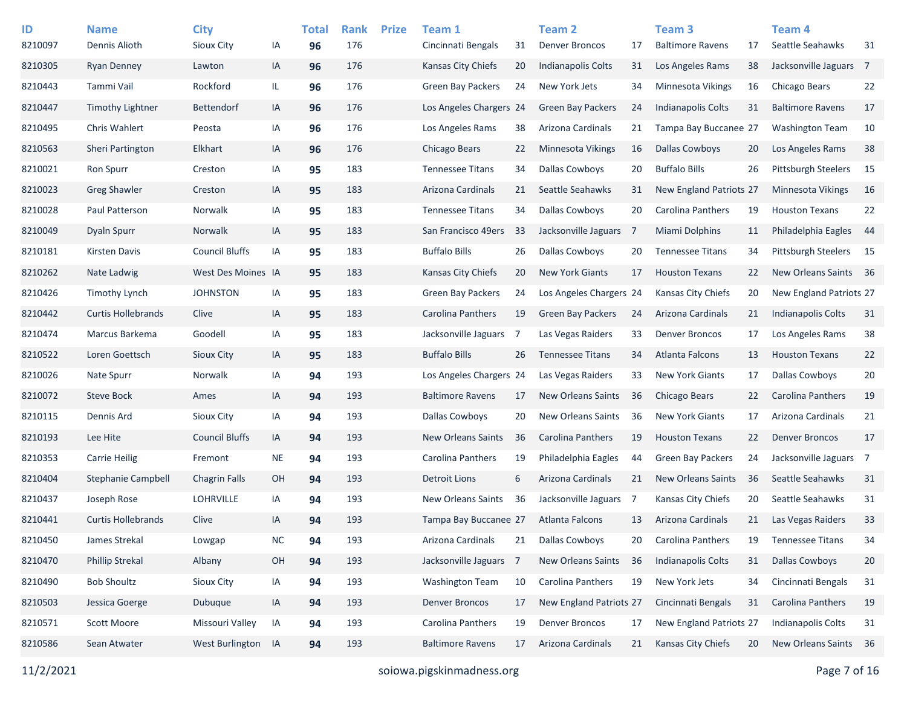| ID<br>8210097 | <b>Name</b><br>Dennis Alioth | <b>City</b><br>Sioux City | IA        | <b>Total</b><br>96 | <b>Rank</b><br>176 | <b>Prize</b> | Team 1<br>Cincinnati Bengals | 31  | Team 2<br><b>Denver Broncos</b> | 17             | Team <sub>3</sub><br><b>Baltimore Ravens</b> | 17 | <b>Team 4</b><br>Seattle Seahawks | 31   |
|---------------|------------------------------|---------------------------|-----------|--------------------|--------------------|--------------|------------------------------|-----|---------------------------------|----------------|----------------------------------------------|----|-----------------------------------|------|
| 8210305       | <b>Ryan Denney</b>           | Lawton                    | IA        | 96                 | 176                |              | Kansas City Chiefs           | 20  | Indianapolis Colts              | 31             | Los Angeles Rams                             | 38 | Jacksonville Jaguars 7            |      |
| 8210443       | Tammi Vail                   | Rockford                  | IL        | 96                 | 176                |              | <b>Green Bay Packers</b>     | 24  | New York Jets                   | 34             | Minnesota Vikings                            | 16 | Chicago Bears                     | 22   |
| 8210447       | <b>Timothy Lightner</b>      | <b>Bettendorf</b>         | IA        | 96                 | 176                |              | Los Angeles Chargers 24      |     | <b>Green Bay Packers</b>        | 24             | Indianapolis Colts                           | 31 | <b>Baltimore Ravens</b>           | 17   |
| 8210495       | Chris Wahlert                | Peosta                    | IA        | 96                 | 176                |              | Los Angeles Rams             | 38  | Arizona Cardinals               | 21             | Tampa Bay Buccanee 27                        |    | <b>Washington Team</b>            | 10   |
| 8210563       | <b>Sheri Partington</b>      | Elkhart                   | IA        | 96                 | 176                |              | Chicago Bears                | 22  | <b>Minnesota Vikings</b>        | 16             | <b>Dallas Cowboys</b>                        | 20 | Los Angeles Rams                  | 38   |
| 8210021       | <b>Ron Spurr</b>             | Creston                   | IA        | 95                 | 183                |              | <b>Tennessee Titans</b>      | 34  | <b>Dallas Cowboys</b>           | 20             | <b>Buffalo Bills</b>                         | 26 | <b>Pittsburgh Steelers</b>        | 15   |
| 8210023       | <b>Greg Shawler</b>          | Creston                   | IA        | 95                 | 183                |              | Arizona Cardinals            | 21  | Seattle Seahawks                | 31             | New England Patriots 27                      |    | <b>Minnesota Vikings</b>          | 16   |
| 8210028       | Paul Patterson               | Norwalk                   | IA        | 95                 | 183                |              | <b>Tennessee Titans</b>      | 34  | <b>Dallas Cowboys</b>           | 20             | Carolina Panthers                            | 19 | <b>Houston Texans</b>             | 22   |
| 8210049       | Dyaln Spurr                  | Norwalk                   | IA        | 95                 | 183                |              | San Francisco 49ers          | 33  | Jacksonville Jaguars            | $\overline{7}$ | Miami Dolphins                               | 11 | Philadelphia Eagles               | -44  |
| 8210181       | <b>Kirsten Davis</b>         | <b>Council Bluffs</b>     | IA        | 95                 | 183                |              | <b>Buffalo Bills</b>         | 26  | Dallas Cowboys                  | 20             | <b>Tennessee Titans</b>                      | 34 | <b>Pittsburgh Steelers</b>        | - 15 |
| 8210262       | Nate Ladwig                  | West Des Moines IA        |           | 95                 | 183                |              | Kansas City Chiefs           | 20  | <b>New York Giants</b>          | 17             | <b>Houston Texans</b>                        | 22 | New Orleans Saints 36             |      |
| 8210426       | <b>Timothy Lynch</b>         | <b>JOHNSTON</b>           | IA        | 95                 | 183                |              | <b>Green Bay Packers</b>     | 24  | Los Angeles Chargers 24         |                | Kansas City Chiefs                           | 20 | New England Patriots 27           |      |
| 8210442       | <b>Curtis Hollebrands</b>    | Clive                     | IA        | 95                 | 183                |              | Carolina Panthers            | 19  | <b>Green Bay Packers</b>        | 24             | Arizona Cardinals                            | 21 | <b>Indianapolis Colts</b>         | 31   |
| 8210474       | Marcus Barkema               | Goodell                   | IA        | 95                 | 183                |              | Jacksonville Jaguars         | 7   | Las Vegas Raiders               | 33             | <b>Denver Broncos</b>                        | 17 | Los Angeles Rams                  | 38   |
| 8210522       | Loren Goettsch               | Sioux City                | IA        | 95                 | 183                |              | <b>Buffalo Bills</b>         | 26  | <b>Tennessee Titans</b>         | 34             | <b>Atlanta Falcons</b>                       | 13 | <b>Houston Texans</b>             | 22   |
| 8210026       | Nate Spurr                   | <b>Norwalk</b>            | IA        | 94                 | 193                |              | Los Angeles Chargers 24      |     | Las Vegas Raiders               | 33             | <b>New York Giants</b>                       | 17 | <b>Dallas Cowboys</b>             | 20   |
| 8210072       | <b>Steve Bock</b>            | Ames                      | IA        | 94                 | 193                |              | <b>Baltimore Ravens</b>      | 17  | <b>New Orleans Saints</b>       | 36             | Chicago Bears                                | 22 | <b>Carolina Panthers</b>          | 19   |
| 8210115       | Dennis Ard                   | Sioux City                | IA        | 94                 | 193                |              | <b>Dallas Cowboys</b>        | 20  | <b>New Orleans Saints</b>       | 36             | <b>New York Giants</b>                       | 17 | Arizona Cardinals                 | 21   |
| 8210193       | Lee Hite                     | <b>Council Bluffs</b>     | IA        | 94                 | 193                |              | <b>New Orleans Saints</b>    | -36 | Carolina Panthers               | 19             | <b>Houston Texans</b>                        | 22 | <b>Denver Broncos</b>             | 17   |
| 8210353       | <b>Carrie Heilig</b>         | Fremont                   | <b>NE</b> | 94                 | 193                |              | Carolina Panthers            | 19  | Philadelphia Eagles             | 44             | <b>Green Bay Packers</b>                     | 24 | Jacksonville Jaguars 7            |      |
| 8210404       | Stephanie Campbell           | <b>Chagrin Falls</b>      | 0H        | 94                 | 193                |              | <b>Detroit Lions</b>         | 6   | Arizona Cardinals               | 21             | <b>New Orleans Saints</b>                    | 36 | Seattle Seahawks                  | 31   |
| 8210437       | Joseph Rose                  | <b>LOHRVILLE</b>          | IA        | 94                 | 193                |              | New Orleans Saints           | 36  | Jacksonville Jaguars 7          |                | Kansas City Chiefs                           | 20 | Seattle Seahawks                  | 31   |
| 8210441       | <b>Curtis Hollebrands</b>    | Clive                     | IA        | 94                 | 193                |              | Tampa Bay Buccanee 27        |     | <b>Atlanta Falcons</b>          | 13             | <b>Arizona Cardinals</b>                     | 21 | Las Vegas Raiders                 | 33   |
| 8210450       | James Strekal                | Lowgap                    | <b>NC</b> | 94                 | 193                |              | Arizona Cardinals            | 21  | Dallas Cowboys                  | 20             | Carolina Panthers                            | 19 | <b>Tennessee Titans</b>           | 34   |
| 8210470       | <b>Phillip Strekal</b>       | Albany                    | OH        | 94                 | 193                |              | Jacksonville Jaguars         | -7  | New Orleans Saints              | 36             | Indianapolis Colts                           | 31 | <b>Dallas Cowboys</b>             | 20   |
| 8210490       | <b>Bob Shoultz</b>           | Sioux City                | IA        | 94                 | 193                |              | <b>Washington Team</b>       | 10  | Carolina Panthers               | 19             | New York Jets                                | 34 | Cincinnati Bengals                | 31   |
| 8210503       | Jessica Goerge               | Dubuque                   | IA        | 94                 | 193                |              | <b>Denver Broncos</b>        | 17  | New England Patriots 27         |                | Cincinnati Bengals                           | 31 | Carolina Panthers                 | 19   |
| 8210571       | <b>Scott Moore</b>           | Missouri Valley           | IA        | 94                 | 193                |              | Carolina Panthers            | 19  | <b>Denver Broncos</b>           | 17             | New England Patriots 27                      |    | <b>Indianapolis Colts</b>         | 31   |
| 8210586       | Sean Atwater                 | West Burlington IA        |           | 94                 | 193                |              | <b>Baltimore Ravens</b>      | 17  | Arizona Cardinals               | 21             | Kansas City Chiefs                           | 20 | New Orleans Saints                | 36   |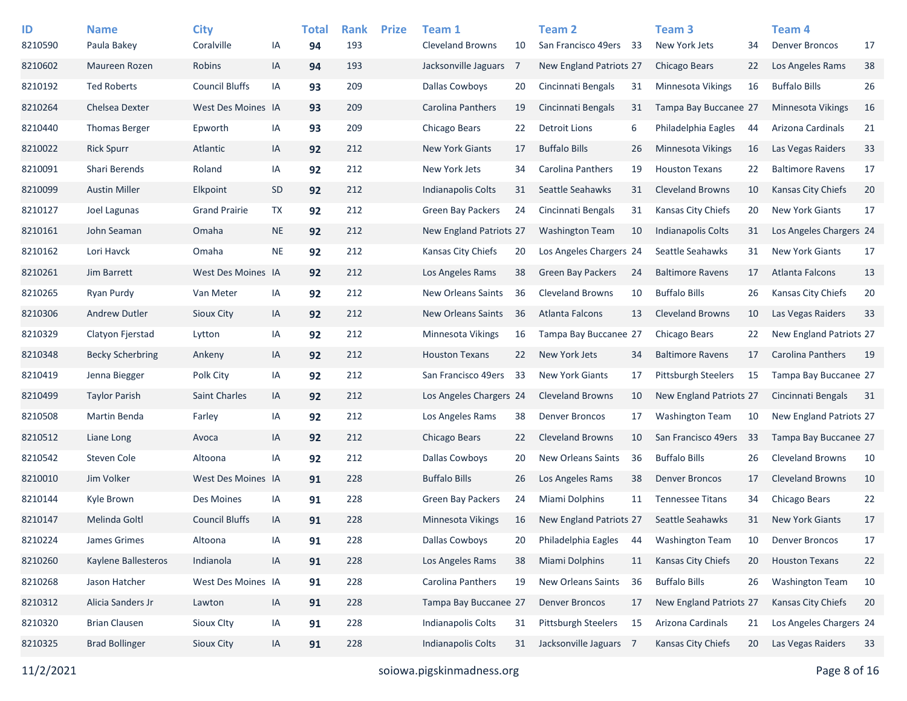| ID<br>8210590 | <b>Name</b><br>Paula Bakey | <b>City</b><br>Coralville | ΙA        | <b>Total</b><br>94 | <b>Rank</b><br>193 | <b>Prize</b> | Team 1<br><b>Cleveland Browns</b> | 10 | <b>Team 2</b><br>San Francisco 49ers | - 33 | Team <sub>3</sub><br>New York Jets | 34  | Team <sub>4</sub><br><b>Denver Broncos</b> | 17  |
|---------------|----------------------------|---------------------------|-----------|--------------------|--------------------|--------------|-----------------------------------|----|--------------------------------------|------|------------------------------------|-----|--------------------------------------------|-----|
| 8210602       | Maureen Rozen              | Robins                    | IA        | 94                 | 193                |              | Jacksonville Jaguars              | 7  | <b>New England Patriots 27</b>       |      | Chicago Bears                      | 22  | Los Angeles Rams                           | 38  |
| 8210192       | <b>Ted Roberts</b>         | <b>Council Bluffs</b>     | IA        | 93                 | 209                |              | <b>Dallas Cowboys</b>             | 20 | Cincinnati Bengals                   | 31   | Minnesota Vikings                  | 16  | <b>Buffalo Bills</b>                       | 26  |
| 8210264       | Chelsea Dexter             | West Des Moines IA        |           | 93                 | 209                |              | Carolina Panthers                 | 19 | Cincinnati Bengals                   | 31   | Tampa Bay Buccanee 27              |     | <b>Minnesota Vikings</b>                   | 16  |
| 8210440       | <b>Thomas Berger</b>       | Epworth                   | IA        | 93                 | 209                |              | Chicago Bears                     | 22 | Detroit Lions                        | 6    | Philadelphia Eagles                | 44  | Arizona Cardinals                          | 21  |
| 8210022       | <b>Rick Spurr</b>          | Atlantic                  | IA        | 92                 | 212                |              | <b>New York Giants</b>            | 17 | <b>Buffalo Bills</b>                 | 26   | <b>Minnesota Vikings</b>           | 16  | Las Vegas Raiders                          | 33  |
| 8210091       | Shari Berends              | Roland                    | IA        | 92                 | 212                |              | New York Jets                     | 34 | <b>Carolina Panthers</b>             | 19   | <b>Houston Texans</b>              | 22  | <b>Baltimore Ravens</b>                    | 17  |
| 8210099       | <b>Austin Miller</b>       | Elkpoint                  | <b>SD</b> | 92                 | 212                |              | Indianapolis Colts                | 31 | Seattle Seahawks                     | 31   | <b>Cleveland Browns</b>            | 10  | <b>Kansas City Chiefs</b>                  | 20  |
| 8210127       | Joel Lagunas               | <b>Grand Prairie</b>      | TX        | 92                 | 212                |              | Green Bay Packers                 | 24 | Cincinnati Bengals                   | 31   | Kansas City Chiefs                 | 20  | <b>New York Giants</b>                     | 17  |
| 8210161       | John Seaman                | Omaha                     | <b>NE</b> | 92                 | 212                |              | New England Patriots 27           |    | <b>Washington Team</b>               | 10   | Indianapolis Colts                 | 31  | Los Angeles Chargers 24                    |     |
| 8210162       | Lori Havck                 | Omaha                     | <b>NE</b> | 92                 | 212                |              | Kansas City Chiefs                | 20 | Los Angeles Chargers 24              |      | Seattle Seahawks                   | 31  | <b>New York Giants</b>                     | 17  |
| 8210261       | Jim Barrett                | West Des Moines IA        |           | 92                 | 212                |              | Los Angeles Rams                  | 38 | Green Bay Packers                    | 24   | <b>Baltimore Ravens</b>            | 17  | <b>Atlanta Falcons</b>                     | 13  |
| 8210265       | Ryan Purdy                 | Van Meter                 | IA        | 92                 | 212                |              | <b>New Orleans Saints</b>         | 36 | <b>Cleveland Browns</b>              | 10   | <b>Buffalo Bills</b>               | 26  | Kansas City Chiefs                         | 20  |
| 8210306       | <b>Andrew Dutler</b>       | Sioux City                | IA        | 92                 | 212                |              | <b>New Orleans Saints</b>         | 36 | Atlanta Falcons                      | 13   | <b>Cleveland Browns</b>            | 10  | Las Vegas Raiders                          | 33  |
| 8210329       | Clatyon Fjerstad           | Lytton                    | IA        | 92                 | 212                |              | <b>Minnesota Vikings</b>          | 16 | Tampa Bay Buccanee 27                |      | Chicago Bears                      | 22  | New England Patriots 27                    |     |
| 8210348       | <b>Becky Scherbring</b>    | Ankeny                    | IA        | 92                 | 212                |              | <b>Houston Texans</b>             | 22 | New York Jets                        | 34   | <b>Baltimore Ravens</b>            | 17  | <b>Carolina Panthers</b>                   | 19  |
| 8210419       | Jenna Biegger              | Polk City                 | IA        | 92                 | 212                |              | San Francisco 49ers               | 33 | <b>New York Giants</b>               | 17   | <b>Pittsburgh Steelers</b>         | 15  | Tampa Bay Buccanee 27                      |     |
| 8210499       | <b>Taylor Parish</b>       | <b>Saint Charles</b>      | IA        | 92                 | 212                |              | Los Angeles Chargers 24           |    | <b>Cleveland Browns</b>              | 10   | New England Patriots 27            |     | Cincinnati Bengals                         | -31 |
| 8210508       | Martin Benda               | Farley                    | IA        | 92                 | 212                |              | Los Angeles Rams                  | 38 | <b>Denver Broncos</b>                | 17   | <b>Washington Team</b>             | 10  | New England Patriots 27                    |     |
| 8210512       | Liane Long                 | Avoca                     | IA        | 92                 | 212                |              | Chicago Bears                     | 22 | <b>Cleveland Browns</b>              | 10   | San Francisco 49ers                | -33 | Tampa Bay Buccanee 27                      |     |
| 8210542       | Steven Cole                | Altoona                   | IA        | 92                 | 212                |              | Dallas Cowboys                    | 20 | New Orleans Saints                   | 36   | <b>Buffalo Bills</b>               | 26  | <b>Cleveland Browns</b>                    | 10  |
| 8210010       | Jim Volker                 | West Des Moines IA        |           | 91                 | 228                |              | <b>Buffalo Bills</b>              | 26 | Los Angeles Rams                     | 38   | <b>Denver Broncos</b>              | 17  | <b>Cleveland Browns</b>                    | 10  |
| 8210144       | Kyle Brown                 | Des Moines                | IA        | 91                 | 228                |              | Green Bay Packers                 | 24 | <b>Miami Dolphins</b>                | 11   | <b>Tennessee Titans</b>            | 34  | Chicago Bears                              | 22  |
| 8210147       | Melinda Goltl              | <b>Council Bluffs</b>     | IA        | 91                 | 228                |              | <b>Minnesota Vikings</b>          | 16 | New England Patriots 27              |      | Seattle Seahawks                   | 31  | <b>New York Giants</b>                     | 17  |
| 8210224       | James Grimes               | Altoona                   | IA        | 91                 | 228                |              | <b>Dallas Cowboys</b>             | 20 | Philadelphia Eagles                  | 44   | <b>Washington Team</b>             | 10  | <b>Denver Broncos</b>                      | 17  |
| 8210260       | Kaylene Ballesteros        | Indianola                 | IA        | 91                 | 228                |              | Los Angeles Rams                  | 38 | Miami Dolphins                       | 11   | Kansas City Chiefs                 | 20  | <b>Houston Texans</b>                      | 22  |
| 8210268       | Jason Hatcher              | West Des Moines IA        |           | 91                 | 228                |              | Carolina Panthers                 | 19 | New Orleans Saints                   | 36   | <b>Buffalo Bills</b>               | 26  | <b>Washington Team</b>                     | 10  |
| 8210312       | Alicia Sanders Jr          | Lawton                    | $\sf IA$  | 91                 | 228                |              | Tampa Bay Buccanee 27             |    | <b>Denver Broncos</b>                | 17   | New England Patriots 27            |     | Kansas City Chiefs                         | 20  |
| 8210320       | <b>Brian Clausen</b>       | Sioux Clty                | IA        | 91                 | 228                |              | Indianapolis Colts                | 31 | Pittsburgh Steelers                  | 15   | Arizona Cardinals                  | 21  | Los Angeles Chargers 24                    |     |
| 8210325       | <b>Brad Bollinger</b>      | Sioux City                | IA        | 91                 | 228                |              | Indianapolis Colts                | 31 | Jacksonville Jaguars 7               |      | Kansas City Chiefs                 | 20  | Las Vegas Raiders                          | 33  |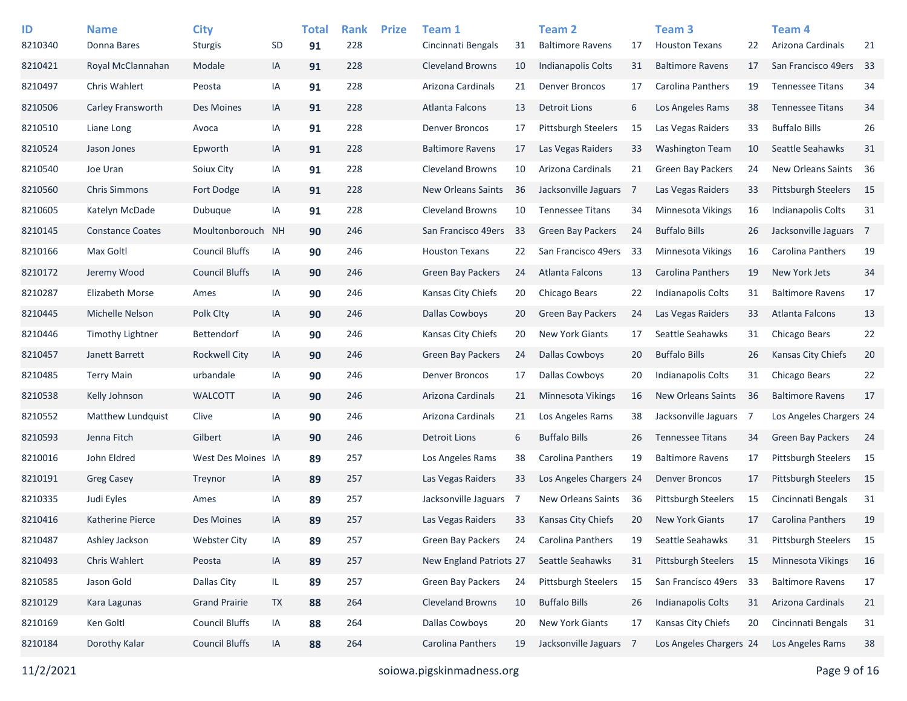| ID      | <b>Name</b>             | <b>City</b>           |           | <b>Total</b> | <b>Rank</b> | <b>Prize</b> | Team 1                    |     | <b>Team 2</b>              |     | Team <sub>3</sub>          |     | Team 4                     |      |
|---------|-------------------------|-----------------------|-----------|--------------|-------------|--------------|---------------------------|-----|----------------------------|-----|----------------------------|-----|----------------------------|------|
| 8210340 | Donna Bares             | <b>Sturgis</b>        | SD        | 91           | 228         |              | Cincinnati Bengals        | 31  | <b>Baltimore Ravens</b>    | 17  | <b>Houston Texans</b>      | 22  | Arizona Cardinals          | 21   |
| 8210421 | Royal McClannahan       | Modale                | IA        | 91           | 228         |              | <b>Cleveland Browns</b>   | 10  | Indianapolis Colts         | 31  | <b>Baltimore Ravens</b>    | 17  | San Francisco 49ers        | 33   |
| 8210497 | <b>Chris Wahlert</b>    | Peosta                | IA        | 91           | 228         |              | Arizona Cardinals         | 21  | <b>Denver Broncos</b>      | 17  | Carolina Panthers          | 19  | <b>Tennessee Titans</b>    | 34   |
| 8210506 | Carley Fransworth       | Des Moines            | IA        | 91           | 228         |              | Atlanta Falcons           | 13  | Detroit Lions              | 6   | Los Angeles Rams           | 38  | <b>Tennessee Titans</b>    | 34   |
| 8210510 | Liane Long              | Avoca                 | IA        | 91           | 228         |              | <b>Denver Broncos</b>     | 17  | <b>Pittsburgh Steelers</b> | 15  | Las Vegas Raiders          | 33  | <b>Buffalo Bills</b>       | 26   |
| 8210524 | Jason Jones             | Epworth               | IA        | 91           | 228         |              | <b>Baltimore Ravens</b>   | 17  | Las Vegas Raiders          | 33  | <b>Washington Team</b>     | 10  | Seattle Seahawks           | 31   |
| 8210540 | Joe Uran                | Soiux City            | IA        | 91           | 228         |              | <b>Cleveland Browns</b>   | 10  | Arizona Cardinals          | 21  | <b>Green Bay Packers</b>   | 24  | New Orleans Saints         | 36   |
| 8210560 | <b>Chris Simmons</b>    | Fort Dodge            | IA        | 91           | 228         |              | <b>New Orleans Saints</b> | 36  | Jacksonville Jaguars       | - 7 | Las Vegas Raiders          | 33  | <b>Pittsburgh Steelers</b> | 15   |
| 8210605 | Katelyn McDade          | Dubuque               | ΙA        | 91           | 228         |              | <b>Cleveland Browns</b>   | 10  | <b>Tennessee Titans</b>    | 34  | <b>Minnesota Vikings</b>   | 16  | <b>Indianapolis Colts</b>  | 31   |
| 8210145 | <b>Constance Coates</b> | Moultonborouch        | <b>NH</b> | 90           | 246         |              | San Francisco 49ers       | 33  | <b>Green Bay Packers</b>   | 24  | <b>Buffalo Bills</b>       | 26  | Jacksonville Jaguars 7     |      |
| 8210166 | Max Goltl               | <b>Council Bluffs</b> | IA        | 90           | 246         |              | <b>Houston Texans</b>     | 22  | San Francisco 49ers        | 33  | Minnesota Vikings          | 16  | Carolina Panthers          | 19   |
| 8210172 | Jeremy Wood             | <b>Council Bluffs</b> | IA        | 90           | 246         |              | <b>Green Bay Packers</b>  | 24  | Atlanta Falcons            | 13  | <b>Carolina Panthers</b>   | 19  | New York Jets              | 34   |
| 8210287 | Elizabeth Morse         | Ames                  | ΙA        | 90           | 246         |              | Kansas City Chiefs        | 20  | Chicago Bears              | 22  | Indianapolis Colts         | 31  | <b>Baltimore Ravens</b>    | 17   |
| 8210445 | Michelle Nelson         | Polk City             | IA        | 90           | 246         |              | <b>Dallas Cowboys</b>     | 20  | <b>Green Bay Packers</b>   | 24  | Las Vegas Raiders          | 33  | Atlanta Falcons            | 13   |
| 8210446 | <b>Timothy Lightner</b> | <b>Bettendorf</b>     | ΙA        | 90           | 246         |              | Kansas City Chiefs        | 20  | <b>New York Giants</b>     | 17  | Seattle Seahawks           | 31  | Chicago Bears              | 22   |
| 8210457 | Janett Barrett          | Rockwell City         | IA        | 90           | 246         |              | <b>Green Bay Packers</b>  | -24 | <b>Dallas Cowboys</b>      | 20  | <b>Buffalo Bills</b>       | 26  | Kansas City Chiefs         | 20   |
| 8210485 | <b>Terry Main</b>       | urbandale             | ΙA        | 90           | 246         |              | <b>Denver Broncos</b>     | 17  | <b>Dallas Cowboys</b>      | 20  | Indianapolis Colts         | 31  | <b>Chicago Bears</b>       | 22   |
| 8210538 | Kelly Johnson           | <b>WALCOTT</b>        | IA        | 90           | 246         |              | Arizona Cardinals         | 21  | Minnesota Vikings          | 16  | <b>New Orleans Saints</b>  | -36 | <b>Baltimore Ravens</b>    | 17   |
| 8210552 | Matthew Lundquist       | Clive                 | ΙA        | 90           | 246         |              | Arizona Cardinals         | 21  | Los Angeles Rams           | 38  | Jacksonville Jaguars 7     |     | Los Angeles Chargers 24    |      |
| 8210593 | Jenna Fitch             | Gilbert               | IA        | 90           | 246         |              | <b>Detroit Lions</b>      | 6   | <b>Buffalo Bills</b>       | 26  | <b>Tennessee Titans</b>    | 34  | <b>Green Bay Packers</b>   | 24   |
| 8210016 | John Eldred             | West Des Moines IA    |           | 89           | 257         |              | Los Angeles Rams          | 38  | Carolina Panthers          | 19  | <b>Baltimore Ravens</b>    | 17  | <b>Pittsburgh Steelers</b> | - 15 |
| 8210191 | <b>Greg Casey</b>       | Treynor               | IA        | 89           | 257         |              | Las Vegas Raiders         | 33  | Los Angeles Chargers 24    |     | <b>Denver Broncos</b>      | 17  | <b>Pittsburgh Steelers</b> | 15   |
| 8210335 | Judi Eyles              | Ames                  | ΙA        | 89           | 257         |              | Jacksonville Jaguars      | -7  | New Orleans Saints         | 36  | <b>Pittsburgh Steelers</b> | 15  | Cincinnati Bengals         | 31   |
| 8210416 | <b>Katherine Pierce</b> | Des Moines            | IA        | 89           | 257         |              | Las Vegas Raiders         | 33  | Kansas City Chiefs         | 20  | <b>New York Giants</b>     | 17  | <b>Carolina Panthers</b>   | 19   |
| 8210487 | Ashley Jackson          | <b>Webster City</b>   | ΙA        | 89           | 257         |              | <b>Green Bay Packers</b>  | 24  | Carolina Panthers          | 19  | Seattle Seahawks           | 31  | Pittsburgh Steelers        | 15   |
| 8210493 | Chris Wahlert           | Peosta                | IA        | 89           | 257         |              | New England Patriots 27   |     | Seattle Seahawks           | 31  | Pittsburgh Steelers        | 15  | Minnesota Vikings          | 16   |
| 8210585 | Jason Gold              | Dallas City           | IL.       | 89           | 257         |              | Green Bay Packers         | 24  | Pittsburgh Steelers        | 15  | San Francisco 49ers        | -33 | <b>Baltimore Ravens</b>    | 17   |
| 8210129 | Kara Lagunas            | <b>Grand Prairie</b>  | <b>TX</b> | 88           | 264         |              | <b>Cleveland Browns</b>   | 10  | <b>Buffalo Bills</b>       | 26  | Indianapolis Colts         | 31  | Arizona Cardinals          | 21   |
| 8210169 | Ken Goltl               | <b>Council Bluffs</b> | IA        | 88           | 264         |              | Dallas Cowboys            | 20  | New York Giants            | 17  | Kansas City Chiefs         | 20  | Cincinnati Bengals         | 31   |
| 8210184 | Dorothy Kalar           | <b>Council Bluffs</b> | IA        | 88           | 264         |              | Carolina Panthers         | 19  | Jacksonville Jaguars 7     |     | Los Angeles Chargers 24    |     | Los Angeles Rams           | 38   |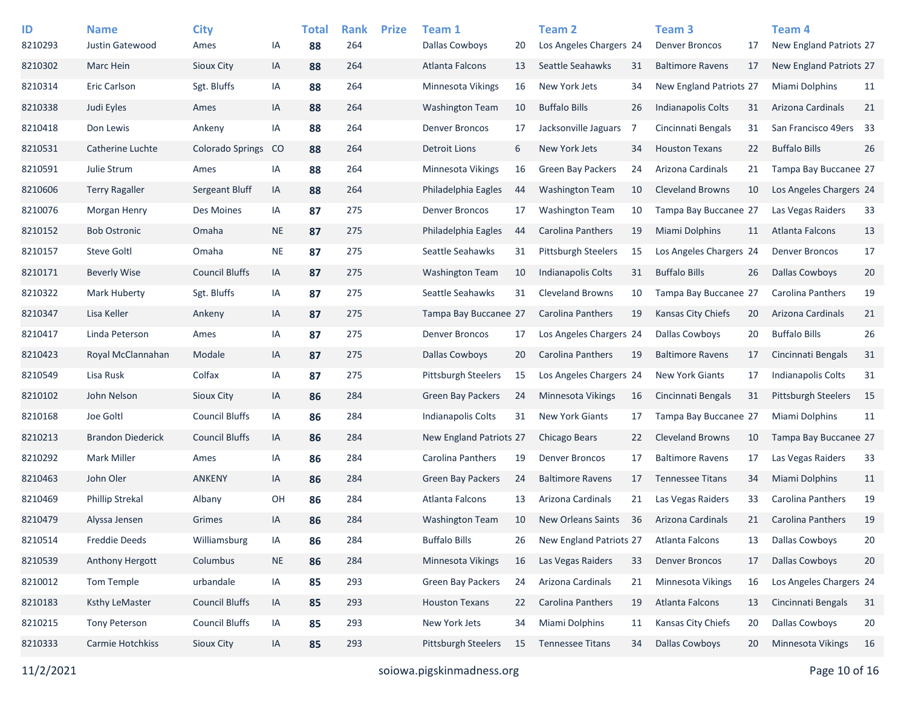| ID<br>8210293 | <b>Name</b><br>Justin Gatewood | <b>City</b><br>Ames     | ΙA        | <b>Total</b><br>88 | <b>Rank</b><br>264 | <b>Prize</b> | Team 1<br><b>Dallas Cowboys</b> | 20 | Team <sub>2</sub><br>Los Angeles Chargers 24 |    | Team <sub>3</sub><br><b>Denver Broncos</b> | 17 | Team <sub>4</sub><br>New England Patriots 27 |    |
|---------------|--------------------------------|-------------------------|-----------|--------------------|--------------------|--------------|---------------------------------|----|----------------------------------------------|----|--------------------------------------------|----|----------------------------------------------|----|
| 8210302       | Marc Hein                      | Sioux City              | IA        | 88                 | 264                |              | <b>Atlanta Falcons</b>          | 13 | Seattle Seahawks                             | 31 | <b>Baltimore Ravens</b>                    | 17 | New England Patriots 27                      |    |
| 8210314       | Eric Carlson                   | Sgt. Bluffs             | IA        | 88                 | 264                |              | <b>Minnesota Vikings</b>        | 16 | New York Jets                                | 34 | <b>New England Patriots 27</b>             |    | Miami Dolphins                               | 11 |
| 8210338       | Judi Eyles                     | Ames                    | IA        | 88                 | 264                |              | <b>Washington Team</b>          | 10 | <b>Buffalo Bills</b>                         | 26 | Indianapolis Colts                         | 31 | Arizona Cardinals                            | 21 |
| 8210418       | Don Lewis                      | Ankeny                  | IA        | 88                 | 264                |              | <b>Denver Broncos</b>           | 17 | Jacksonville Jaguars                         | -7 | Cincinnati Bengals                         | 31 | San Francisco 49ers 33                       |    |
| 8210531       | Catherine Luchte               | <b>Colorado Springs</b> | CO        | 88                 | 264                |              | <b>Detroit Lions</b>            | 6  | New York Jets                                | 34 | <b>Houston Texans</b>                      | 22 | <b>Buffalo Bills</b>                         | 26 |
| 8210591       | Julie Strum                    | Ames                    | IA        | 88                 | 264                |              | Minnesota Vikings               | 16 | <b>Green Bay Packers</b>                     | 24 | Arizona Cardinals                          | 21 | Tampa Bay Buccanee 27                        |    |
| 8210606       | <b>Terry Ragaller</b>          | Sergeant Bluff          | IA        | 88                 | 264                |              | Philadelphia Eagles             | 44 | <b>Washington Team</b>                       | 10 | <b>Cleveland Browns</b>                    | 10 | Los Angeles Chargers 24                      |    |
| 8210076       | Morgan Henry                   | Des Moines              | IA        | 87                 | 275                |              | <b>Denver Broncos</b>           | 17 | <b>Washington Team</b>                       | 10 | Tampa Bay Buccanee 27                      |    | Las Vegas Raiders                            | 33 |
| 8210152       | <b>Bob Ostronic</b>            | Omaha                   | <b>NE</b> | 87                 | 275                |              | Philadelphia Eagles             | 44 | <b>Carolina Panthers</b>                     | 19 | <b>Miami Dolphins</b>                      | 11 | <b>Atlanta Falcons</b>                       | 13 |
| 8210157       | <b>Steve Goltl</b>             | Omaha                   | <b>NE</b> | 87                 | 275                |              | Seattle Seahawks                | 31 | <b>Pittsburgh Steelers</b>                   | 15 | Los Angeles Chargers 24                    |    | <b>Denver Broncos</b>                        | 17 |
| 8210171       | <b>Beverly Wise</b>            | <b>Council Bluffs</b>   | IA        | 87                 | 275                |              | <b>Washington Team</b>          | 10 | <b>Indianapolis Colts</b>                    | 31 | <b>Buffalo Bills</b>                       | 26 | <b>Dallas Cowboys</b>                        | 20 |
| 8210322       | Mark Huberty                   | Sgt. Bluffs             | IA        | 87                 | 275                |              | Seattle Seahawks                | 31 | <b>Cleveland Browns</b>                      | 10 | Tampa Bay Buccanee 27                      |    | Carolina Panthers                            | 19 |
| 8210347       | Lisa Keller                    | Ankeny                  | IA        | 87                 | 275                |              | Tampa Bay Buccanee 27           |    | Carolina Panthers                            | 19 | Kansas City Chiefs                         | 20 | Arizona Cardinals                            | 21 |
| 8210417       | Linda Peterson                 | Ames                    | IA        | 87                 | 275                |              | <b>Denver Broncos</b>           | 17 | Los Angeles Chargers 24                      |    | Dallas Cowboys                             | 20 | <b>Buffalo Bills</b>                         | 26 |
| 8210423       | Royal McClannahan              | Modale                  | IA        | 87                 | 275                |              | Dallas Cowboys                  | 20 | Carolina Panthers                            | 19 | <b>Baltimore Ravens</b>                    | 17 | Cincinnati Bengals                           | 31 |
| 8210549       | Lisa Rusk                      | Colfax                  | IA        | 87                 | 275                |              | <b>Pittsburgh Steelers</b>      | 15 | Los Angeles Chargers 24                      |    | <b>New York Giants</b>                     | 17 | <b>Indianapolis Colts</b>                    | 31 |
| 8210102       | John Nelson                    | Sioux City              | IA        | 86                 | 284                |              | <b>Green Bay Packers</b>        | 24 | Minnesota Vikings                            | 16 | Cincinnati Bengals                         | 31 | <b>Pittsburgh Steelers</b>                   | 15 |
| 8210168       | Joe Goltl                      | <b>Council Bluffs</b>   | IA        | 86                 | 284                |              | Indianapolis Colts              | 31 | <b>New York Giants</b>                       | 17 | Tampa Bay Buccanee 27                      |    | <b>Miami Dolphins</b>                        | 11 |
| 8210213       | <b>Brandon Diederick</b>       | <b>Council Bluffs</b>   | IA        | 86                 | 284                |              | New England Patriots 27         |    | <b>Chicago Bears</b>                         | 22 | <b>Cleveland Browns</b>                    | 10 | Tampa Bay Buccanee 27                        |    |
| 8210292       | <b>Mark Miller</b>             | Ames                    | IA        | 86                 | 284                |              | Carolina Panthers               | 19 | <b>Denver Broncos</b>                        | 17 | <b>Baltimore Ravens</b>                    | 17 | Las Vegas Raiders                            | 33 |
| 8210463       | John Oler                      | <b>ANKENY</b>           | IA        | 86                 | 284                |              | <b>Green Bay Packers</b>        | 24 | <b>Baltimore Ravens</b>                      | 17 | <b>Tennessee Titans</b>                    | 34 | Miami Dolphins                               | 11 |
| 8210469       | <b>Phillip Strekal</b>         | Albany                  | OH        | 86                 | 284                |              | Atlanta Falcons                 | 13 | Arizona Cardinals                            | 21 | Las Vegas Raiders                          | 33 | Carolina Panthers                            | 19 |
| 8210479       | Alyssa Jensen                  | Grimes                  | IA        | 86                 | 284                |              | <b>Washington Team</b>          | 10 | <b>New Orleans Saints</b>                    | 36 | Arizona Cardinals                          | 21 | <b>Carolina Panthers</b>                     | 19 |
| 8210514       | <b>Freddie Deeds</b>           | Williamsburg            | IA        | 86                 | 284                |              | <b>Buffalo Bills</b>            | 26 | New England Patriots 27                      |    | Atlanta Falcons                            | 13 | <b>Dallas Cowboys</b>                        | 20 |
| 8210539       | Anthony Hergott                | Columbus                | <b>NE</b> | 86                 | 284                |              | Minnesota Vikings               | 16 | Las Vegas Raiders                            | 33 | <b>Denver Broncos</b>                      | 17 | <b>Dallas Cowboys</b>                        | 20 |
| 8210012       | Tom Temple                     | urbandale               | IA        | 85                 | 293                |              | Green Bay Packers               | 24 | Arizona Cardinals                            | 21 | Minnesota Vikings                          | 16 | Los Angeles Chargers 24                      |    |
| 8210183       | <b>Ksthy LeMaster</b>          | <b>Council Bluffs</b>   | IA        | 85                 | 293                |              | <b>Houston Texans</b>           | 22 | Carolina Panthers                            | 19 | Atlanta Falcons                            | 13 | Cincinnati Bengals                           | 31 |
| 8210215       | <b>Tony Peterson</b>           | <b>Council Bluffs</b>   | IA        | 85                 | 293                |              | New York Jets                   | 34 | Miami Dolphins                               | 11 | Kansas City Chiefs                         | 20 | <b>Dallas Cowboys</b>                        | 20 |
| 8210333       | Carmie Hotchkiss               | Sioux City              | IA        | 85                 | 293                |              | Pittsburgh Steelers             | 15 | <b>Tennessee Titans</b>                      | 34 | <b>Dallas Cowboys</b>                      | 20 | Minnesota Vikings                            | 16 |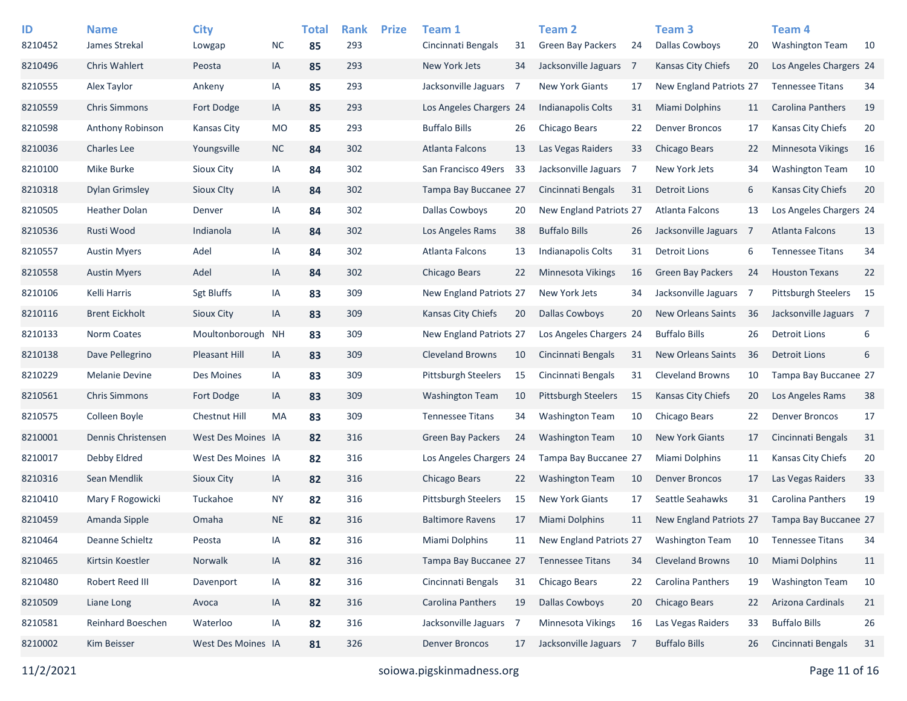| ID      | <b>Name</b>           | <b>City</b>          |           | <b>Total</b> | <b>Rank</b> | <b>Prize</b> | Team 1                   |    | <b>Team 2</b>              |                | Team <sub>3</sub>         |     | Team <sub>4</sub>          |    |
|---------|-----------------------|----------------------|-----------|--------------|-------------|--------------|--------------------------|----|----------------------------|----------------|---------------------------|-----|----------------------------|----|
| 8210452 | James Strekal         | Lowgap               | <b>NC</b> | 85           | 293         |              | Cincinnati Bengals       | 31 | <b>Green Bay Packers</b>   | 24             | <b>Dallas Cowboys</b>     | 20  | <b>Washington Team</b>     | 10 |
| 8210496 | Chris Wahlert         | Peosta               | IA        | 85           | 293         |              | New York Jets            | 34 | Jacksonville Jaguars       | $\overline{7}$ | Kansas City Chiefs        | 20  | Los Angeles Chargers 24    |    |
| 8210555 | Alex Taylor           | Ankeny               | IA        | 85           | 293         |              | Jacksonville Jaguars     | -7 | <b>New York Giants</b>     | 17             | New England Patriots 27   |     | <b>Tennessee Titans</b>    | 34 |
| 8210559 | <b>Chris Simmons</b>  | Fort Dodge           | IA        | 85           | 293         |              | Los Angeles Chargers 24  |    | <b>Indianapolis Colts</b>  | 31             | Miami Dolphins            | 11  | Carolina Panthers          | 19 |
| 8210598 | Anthony Robinson      | Kansas City          | <b>MO</b> | 85           | 293         |              | <b>Buffalo Bills</b>     | 26 | Chicago Bears              | 22             | <b>Denver Broncos</b>     | 17  | Kansas City Chiefs         | 20 |
| 8210036 | <b>Charles Lee</b>    | Youngsville          | <b>NC</b> | 84           | 302         |              | <b>Atlanta Falcons</b>   | 13 | Las Vegas Raiders          | 33             | Chicago Bears             | 22  | Minnesota Vikings          | 16 |
| 8210100 | Mike Burke            | Sioux City           | IA        | 84           | 302         |              | San Francisco 49ers      | 33 | Jacksonville Jaguars       | 7              | New York Jets             | 34  | <b>Washington Team</b>     | 10 |
| 8210318 | <b>Dylan Grimsley</b> | Sioux Clty           | IA        | 84           | 302         |              | Tampa Bay Buccanee 27    |    | Cincinnati Bengals         | 31             | <b>Detroit Lions</b>      | 6   | Kansas City Chiefs         | 20 |
| 8210505 | <b>Heather Dolan</b>  | Denver               | IA        | 84           | 302         |              | Dallas Cowboys           | 20 | New England Patriots 27    |                | Atlanta Falcons           | 13  | Los Angeles Chargers 24    |    |
| 8210536 | Rusti Wood            | Indianola            | IA        | 84           | 302         |              | Los Angeles Rams         | 38 | <b>Buffalo Bills</b>       | 26             | Jacksonville Jaguars 7    |     | <b>Atlanta Falcons</b>     | 13 |
| 8210557 | <b>Austin Myers</b>   | Adel                 | IA        | 84           | 302         |              | Atlanta Falcons          | 13 | <b>Indianapolis Colts</b>  | 31             | <b>Detroit Lions</b>      | 6   | <b>Tennessee Titans</b>    | 34 |
| 8210558 | <b>Austin Myers</b>   | Adel                 | IA        | 84           | 302         |              | Chicago Bears            | 22 | Minnesota Vikings          | 16             | <b>Green Bay Packers</b>  | 24  | <b>Houston Texans</b>      | 22 |
| 8210106 | Kelli Harris          | <b>Sgt Bluffs</b>    | IA        | 83           | 309         |              | New England Patriots 27  |    | New York Jets              | 34             | Jacksonville Jaguars      | - 7 | <b>Pittsburgh Steelers</b> | 15 |
| 8210116 | <b>Brent Eickholt</b> | <b>Sioux City</b>    | IA        | 83           | 309         |              | Kansas City Chiefs       | 20 | <b>Dallas Cowboys</b>      | 20             | <b>New Orleans Saints</b> | 36  | Jacksonville Jaguars 7     |    |
| 8210133 | Norm Coates           | Moultonborough       | <b>NH</b> | 83           | 309         |              | New England Patriots 27  |    | Los Angeles Chargers 24    |                | <b>Buffalo Bills</b>      | 26  | <b>Detroit Lions</b>       | 6  |
| 8210138 | Dave Pellegrino       | <b>Pleasant Hill</b> | IA        | 83           | 309         |              | <b>Cleveland Browns</b>  | 10 | Cincinnati Bengals         | 31             | New Orleans Saints        | 36  | <b>Detroit Lions</b>       | 6  |
| 8210229 | <b>Melanie Devine</b> | Des Moines           | IA        | 83           | 309         |              | Pittsburgh Steelers      | 15 | Cincinnati Bengals         | 31             | <b>Cleveland Browns</b>   | 10  | Tampa Bay Buccanee 27      |    |
| 8210561 | <b>Chris Simmons</b>  | Fort Dodge           | IA        | 83           | 309         |              | <b>Washington Team</b>   | 10 | <b>Pittsburgh Steelers</b> | 15             | <b>Kansas City Chiefs</b> | 20  | Los Angeles Rams           | 38 |
| 8210575 | Colleen Boyle         | Chestnut Hill        | MA        | 83           | 309         |              | <b>Tennessee Titans</b>  | 34 | <b>Washington Team</b>     | 10             | Chicago Bears             | 22  | <b>Denver Broncos</b>      | 17 |
| 8210001 | Dennis Christensen    | West Des Moines IA   |           | 82           | 316         |              | <b>Green Bay Packers</b> | 24 | <b>Washington Team</b>     | 10             | <b>New York Giants</b>    | 17  | Cincinnati Bengals         | 31 |
| 8210017 | Debby Eldred          | West Des Moines IA   |           | 82           | 316         |              | Los Angeles Chargers 24  |    | Tampa Bay Buccanee 27      |                | Miami Dolphins            | 11  | Kansas City Chiefs         | 20 |
| 8210316 | Sean Mendlik          | Sioux City           | IA        | 82           | 316         |              | <b>Chicago Bears</b>     | 22 | <b>Washington Team</b>     | 10             | <b>Denver Broncos</b>     | 17  | Las Vegas Raiders          | 33 |
| 8210410 | Mary F Rogowicki      | Tuckahoe             | NY.       | 82           | 316         |              | Pittsburgh Steelers      | 15 | <b>New York Giants</b>     | 17             | Seattle Seahawks          | 31  | <b>Carolina Panthers</b>   | 19 |
| 8210459 | Amanda Sipple         | Omaha                | <b>NE</b> | 82           | 316         |              | <b>Baltimore Ravens</b>  | 17 | Miami Dolphins             | 11             | New England Patriots 27   |     | Tampa Bay Buccanee 27      |    |
| 8210464 | Deanne Schieltz       | Peosta               | IA        | 82           | 316         |              | Miami Dolphins           | 11 | New England Patriots 27    |                | <b>Washington Team</b>    | 10  | <b>Tennessee Titans</b>    | 34 |
| 8210465 | Kirtsin Koestler      | Norwalk              | IA        | 82           | 316         |              | Tampa Bay Buccanee 27    |    | <b>Tennessee Titans</b>    | 34             | <b>Cleveland Browns</b>   | 10  | Miami Dolphins             | 11 |
| 8210480 | Robert Reed III       | Davenport            | IA        | 82           | 316         |              | Cincinnati Bengals       | 31 | <b>Chicago Bears</b>       | 22             | Carolina Panthers         | 19  | <b>Washington Team</b>     | 10 |
| 8210509 | Liane Long            | Avoca                | IA        | 82           | 316         |              | Carolina Panthers        | 19 | <b>Dallas Cowboys</b>      | 20             | Chicago Bears             | 22  | Arizona Cardinals          | 21 |
| 8210581 | Reinhard Boeschen     | Waterloo             | IA        | 82           | 316         |              | Jacksonville Jaguars 7   |    | Minnesota Vikings          | 16             | Las Vegas Raiders         | 33  | <b>Buffalo Bills</b>       | 26 |
| 8210002 | Kim Beisser           | West Des Moines IA   |           | 81           | 326         |              | <b>Denver Broncos</b>    | 17 | Jacksonville Jaguars 7     |                | <b>Buffalo Bills</b>      | 26  | Cincinnati Bengals         | 31 |
|         |                       |                      |           |              |             |              |                          |    |                            |                |                           |     |                            |    |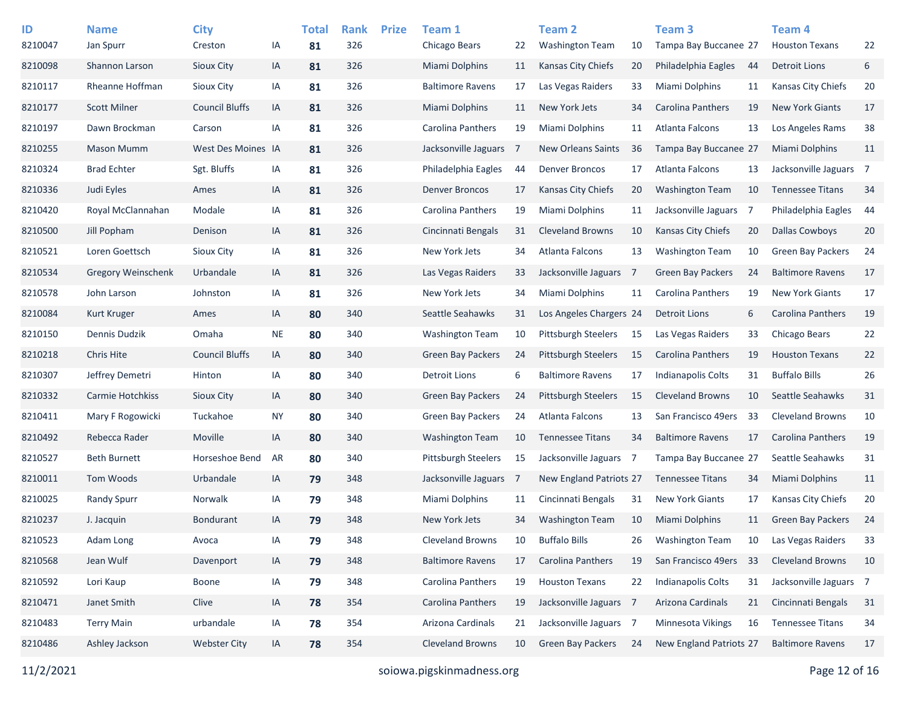| ID<br>8210047 | <b>Name</b><br>Jan Spurr  | <b>City</b><br>Creston | IA        | <b>Total</b><br>81 | <b>Rank</b><br>326 | <b>Prize</b> | Team 1<br>Chicago Bears    | 22             | <b>Team 2</b><br><b>Washington Team</b> | 10             | Team <sub>3</sub><br>Tampa Bay Buccanee 27 |    | Team <sub>4</sub><br><b>Houston Texans</b> | 22 |
|---------------|---------------------------|------------------------|-----------|--------------------|--------------------|--------------|----------------------------|----------------|-----------------------------------------|----------------|--------------------------------------------|----|--------------------------------------------|----|
| 8210098       | Shannon Larson            | Sioux City             | IA        | 81                 | 326                |              | <b>Miami Dolphins</b>      | 11             | <b>Kansas City Chiefs</b>               | 20             | Philadelphia Eagles                        | 44 | <b>Detroit Lions</b>                       | 6  |
| 8210117       | Rheanne Hoffman           | Sioux City             | IA        | 81                 | 326                |              | <b>Baltimore Ravens</b>    | 17             | Las Vegas Raiders                       | 33             | Miami Dolphins                             | 11 | Kansas City Chiefs                         | 20 |
| 8210177       | <b>Scott Milner</b>       | <b>Council Bluffs</b>  | IA        | 81                 | 326                |              | <b>Miami Dolphins</b>      | 11             | New York Jets                           | 34             | <b>Carolina Panthers</b>                   | 19 | <b>New York Giants</b>                     | 17 |
| 8210197       | Dawn Brockman             | Carson                 | IA        | 81                 | 326                |              | Carolina Panthers          | 19             | Miami Dolphins                          | 11             | Atlanta Falcons                            | 13 | Los Angeles Rams                           | 38 |
| 8210255       | <b>Mason Mumm</b>         | West Des Moines IA     |           | 81                 | 326                |              | Jacksonville Jaguars       | 7              | <b>New Orleans Saints</b>               | 36             | Tampa Bay Buccanee 27                      |    | Miami Dolphins                             | 11 |
| 8210324       | <b>Brad Echter</b>        | Sgt. Bluffs            | IA        | 81                 | 326                |              | Philadelphia Eagles        | 44             | <b>Denver Broncos</b>                   | 17             | Atlanta Falcons                            | 13 | Jacksonville Jaguars 7                     |    |
| 8210336       | Judi Eyles                | Ames                   | IA        | 81                 | 326                |              | <b>Denver Broncos</b>      | 17             | <b>Kansas City Chiefs</b>               | 20             | <b>Washington Team</b>                     | 10 | <b>Tennessee Titans</b>                    | 34 |
| 8210420       | Royal McClannahan         | Modale                 | IA        | 81                 | 326                |              | Carolina Panthers          | 19             | Miami Dolphins                          | 11             | Jacksonville Jaguars 7                     |    | Philadelphia Eagles                        | 44 |
| 8210500       | Jill Popham               | Denison                | IA        | 81                 | 326                |              | Cincinnati Bengals         | 31             | <b>Cleveland Browns</b>                 | 10             | Kansas City Chiefs                         | 20 | <b>Dallas Cowboys</b>                      | 20 |
| 8210521       | Loren Goettsch            | Sioux City             | IA        | 81                 | 326                |              | New York Jets              | 34             | Atlanta Falcons                         | 13             | <b>Washington Team</b>                     | 10 | <b>Green Bay Packers</b>                   | 24 |
| 8210534       | <b>Gregory Weinschenk</b> | Urbandale              | IA        | 81                 | 326                |              | Las Vegas Raiders          | 33             | Jacksonville Jaguars                    | $\overline{7}$ | Green Bay Packers                          | 24 | <b>Baltimore Ravens</b>                    | 17 |
| 8210578       | John Larson               | Johnston               | IA        | 81                 | 326                |              | New York Jets              | 34             | Miami Dolphins                          | 11             | <b>Carolina Panthers</b>                   | 19 | <b>New York Giants</b>                     | 17 |
| 8210084       | Kurt Kruger               | Ames                   | IA        | 80                 | 340                |              | Seattle Seahawks           | 31             | Los Angeles Chargers 24                 |                | <b>Detroit Lions</b>                       | 6  | Carolina Panthers                          | 19 |
| 8210150       | Dennis Dudzik             | Omaha                  | <b>NE</b> | 80                 | 340                |              | <b>Washington Team</b>     | 10             | <b>Pittsburgh Steelers</b>              | 15             | Las Vegas Raiders                          | 33 | Chicago Bears                              | 22 |
| 8210218       | Chris Hite                | <b>Council Bluffs</b>  | IA        | 80                 | 340                |              | <b>Green Bay Packers</b>   | 24             | <b>Pittsburgh Steelers</b>              | 15             | <b>Carolina Panthers</b>                   | 19 | <b>Houston Texans</b>                      | 22 |
| 8210307       | Jeffrey Demetri           | Hinton                 | IA        | 80                 | 340                |              | <b>Detroit Lions</b>       | 6              | <b>Baltimore Ravens</b>                 | 17             | <b>Indianapolis Colts</b>                  | 31 | <b>Buffalo Bills</b>                       | 26 |
| 8210332       | Carmie Hotchkiss          | Sioux City             | IA        | 80                 | 340                |              | Green Bay Packers          | 24             | <b>Pittsburgh Steelers</b>              | 15             | <b>Cleveland Browns</b>                    | 10 | Seattle Seahawks                           | 31 |
| 8210411       | Mary F Rogowicki          | Tuckahoe               | <b>NY</b> | 80                 | 340                |              | Green Bay Packers          | 24             | Atlanta Falcons                         | 13             | San Francisco 49ers                        | 33 | <b>Cleveland Browns</b>                    | 10 |
| 8210492       | Rebecca Rader             | Moville                | IA        | 80                 | 340                |              | Washington Team            | 10             | <b>Tennessee Titans</b>                 | 34             | <b>Baltimore Ravens</b>                    | 17 | Carolina Panthers                          | 19 |
| 8210527       | <b>Beth Burnett</b>       | Horseshoe Bend         | AR        | 80                 | 340                |              | <b>Pittsburgh Steelers</b> | 15             | Jacksonville Jaguars                    | $\overline{7}$ | Tampa Bay Buccanee 27                      |    | Seattle Seahawks                           | 31 |
| 8210011       | Tom Woods                 | Urbandale              | IA        | 79                 | 348                |              | Jacksonville Jaguars       | $\overline{7}$ | <b>New England Patriots 27</b>          |                | <b>Tennessee Titans</b>                    | 34 | Miami Dolphins                             | 11 |
| 8210025       | <b>Randy Spurr</b>        | Norwalk                | IA        | 79                 | 348                |              | Miami Dolphins             | 11             | Cincinnati Bengals                      | 31             | <b>New York Giants</b>                     | 17 | Kansas City Chiefs                         | 20 |
| 8210237       | J. Jacquin                | <b>Bondurant</b>       | IA        | 79                 | 348                |              | New York Jets              | 34             | <b>Washington Team</b>                  | 10             | Miami Dolphins                             | 11 | <b>Green Bay Packers</b>                   | 24 |
| 8210523       | Adam Long                 | Avoca                  | IA        | 79                 | 348                |              | Cleveland Browns           | 10             | <b>Buffalo Bills</b>                    | 26             | <b>Washington Team</b>                     | 10 | Las Vegas Raiders                          | 33 |
| 8210568       | Jean Wulf                 | Davenport              | IA        | 79                 | 348                |              | <b>Baltimore Ravens</b>    | 17             | Carolina Panthers                       | 19             | San Francisco 49ers                        | 33 | <b>Cleveland Browns</b>                    | 10 |
| 8210592       | Lori Kaup                 | Boone                  | IA        | 79                 | 348                |              | Carolina Panthers          | 19             | <b>Houston Texans</b>                   | 22             | Indianapolis Colts                         | 31 | Jacksonville Jaguars 7                     |    |
| 8210471       | Janet Smith               | Clive                  | IA        | 78                 | 354                |              | Carolina Panthers          | 19             | Jacksonville Jaguars 7                  |                | Arizona Cardinals                          | 21 | Cincinnati Bengals                         | 31 |
| 8210483       | <b>Terry Main</b>         | urbandale              | IA        | 78                 | 354                |              | Arizona Cardinals          | 21             | Jacksonville Jaguars 7                  |                | Minnesota Vikings                          | 16 | <b>Tennessee Titans</b>                    | 34 |
| 8210486       | Ashley Jackson            | <b>Webster City</b>    | IA        | 78                 | 354                |              | <b>Cleveland Browns</b>    | 10             | Green Bay Packers                       | 24             | New England Patriots 27                    |    | <b>Baltimore Ravens</b>                    | 17 |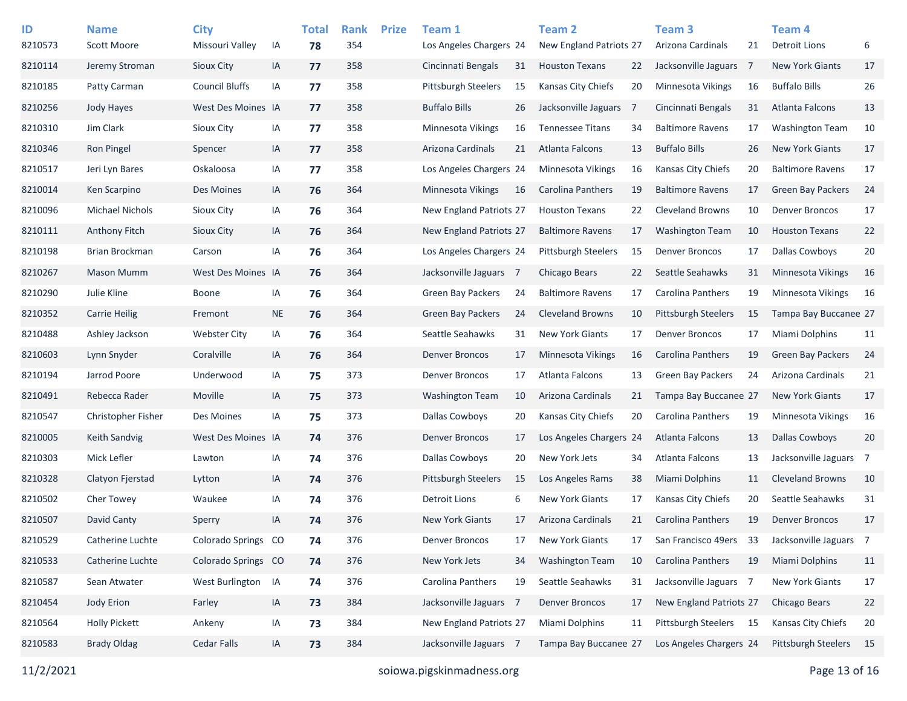| ID<br>8210573 | <b>Name</b><br>Scott Moore | <b>City</b><br>Missouri Valley | IA  | <b>Total</b><br>78 | <b>Rank</b><br>354 | <b>Prize</b> | Team 1<br>Los Angeles Chargers 24 |    | <b>Team 2</b><br>New England Patriots 27 |                | Team <sub>3</sub><br>Arizona Cardinals | 21 | Team 4<br><b>Detroit Lions</b> | 6  |
|---------------|----------------------------|--------------------------------|-----|--------------------|--------------------|--------------|-----------------------------------|----|------------------------------------------|----------------|----------------------------------------|----|--------------------------------|----|
| 8210114       | Jeremy Stroman             | Sioux City                     | IA  | 77                 | 358                |              | Cincinnati Bengals                | 31 | <b>Houston Texans</b>                    | 22             | Jacksonville Jaguars 7                 |    | <b>New York Giants</b>         | 17 |
| 8210185       | Patty Carman               | <b>Council Bluffs</b>          | ΙA  | 77                 | 358                |              | <b>Pittsburgh Steelers</b>        | 15 | Kansas City Chiefs                       | 20             | <b>Minnesota Vikings</b>               | 16 | <b>Buffalo Bills</b>           | 26 |
| 8210256       | Jody Hayes                 | West Des Moines IA             |     | 77                 | 358                |              | <b>Buffalo Bills</b>              | 26 | Jacksonville Jaguars                     | $\overline{7}$ | Cincinnati Bengals                     | 31 | <b>Atlanta Falcons</b>         | 13 |
| 8210310       | Jim Clark                  | Sioux City                     | IA  | 77                 | 358                |              | Minnesota Vikings                 | 16 | <b>Tennessee Titans</b>                  | 34             | <b>Baltimore Ravens</b>                | 17 | <b>Washington Team</b>         | 10 |
| 8210346       | <b>Ron Pingel</b>          |                                |     |                    | 358                |              | Arizona Cardinals                 |    | Atlanta Falcons                          |                | <b>Buffalo Bills</b>                   |    | <b>New York Giants</b>         | 17 |
|               |                            | Spencer                        | IA  | 77                 |                    |              |                                   | 21 |                                          | 13             |                                        | 26 |                                |    |
| 8210517       | Jeri Lyn Bares             | Oskaloosa                      | IA  | 77                 | 358                |              | Los Angeles Chargers 24           |    | Minnesota Vikings                        | 16             | Kansas City Chiefs                     | 20 | <b>Baltimore Ravens</b>        | 17 |
| 8210014       | Ken Scarpino               | Des Moines                     | IA  | 76                 | 364                |              | Minnesota Vikings                 | 16 | Carolina Panthers                        | 19             | <b>Baltimore Ravens</b>                | 17 | <b>Green Bay Packers</b>       | 24 |
| 8210096       | <b>Michael Nichols</b>     | Sioux City                     | IA  | 76                 | 364                |              | New England Patriots 27           |    | <b>Houston Texans</b>                    | 22             | <b>Cleveland Browns</b>                | 10 | <b>Denver Broncos</b>          | 17 |
| 8210111       | <b>Anthony Fitch</b>       | Sioux City                     | IA  | 76                 | 364                |              | New England Patriots 27           |    | <b>Baltimore Ravens</b>                  | 17             | <b>Washington Team</b>                 | 10 | <b>Houston Texans</b>          | 22 |
| 8210198       | Brian Brockman             | Carson                         | ΙA  | 76                 | 364                |              | Los Angeles Chargers 24           |    | <b>Pittsburgh Steelers</b>               | 15             | <b>Denver Broncos</b>                  | 17 | <b>Dallas Cowboys</b>          | 20 |
| 8210267       | <b>Mason Mumm</b>          | West Des Moines IA             |     | 76                 | 364                |              | Jacksonville Jaguars 7            |    | Chicago Bears                            | 22             | Seattle Seahawks                       | 31 | <b>Minnesota Vikings</b>       | 16 |
| 8210290       | Julie Kline                | <b>Boone</b>                   | IA  | 76                 | 364                |              | <b>Green Bay Packers</b>          | 24 | <b>Baltimore Ravens</b>                  | 17             | Carolina Panthers                      | 19 | <b>Minnesota Vikings</b>       | 16 |
| 8210352       | <b>Carrie Heilig</b>       | Fremont                        | NE. | 76                 | 364                |              | <b>Green Bay Packers</b>          | 24 | <b>Cleveland Browns</b>                  | 10             | <b>Pittsburgh Steelers</b>             | 15 | Tampa Bay Buccanee 27          |    |
| 8210488       | Ashley Jackson             | <b>Webster City</b>            | IA  | 76                 | 364                |              | Seattle Seahawks                  | 31 | <b>New York Giants</b>                   | 17             | <b>Denver Broncos</b>                  | 17 | Miami Dolphins                 | 11 |
| 8210603       | Lynn Snyder                | Coralville                     | IA  | 76                 | 364                |              | <b>Denver Broncos</b>             | 17 | Minnesota Vikings                        | 16             | <b>Carolina Panthers</b>               | 19 | Green Bay Packers              | 24 |
| 8210194       | Jarrod Poore               | Underwood                      | IA  | 75                 | 373                |              | <b>Denver Broncos</b>             | 17 | Atlanta Falcons                          | 13             | <b>Green Bay Packers</b>               | 24 | Arizona Cardinals              | 21 |
| 8210491       | Rebecca Rader              | Moville                        | IA  | 75                 | 373                |              | <b>Washington Team</b>            | 10 | Arizona Cardinals                        | 21             | Tampa Bay Buccanee 27                  |    | <b>New York Giants</b>         | 17 |
| 8210547       | Christopher Fisher         | Des Moines                     | IA  | 75                 | 373                |              | Dallas Cowboys                    | 20 | Kansas City Chiefs                       | 20             | <b>Carolina Panthers</b>               | 19 | Minnesota Vikings              | 16 |
| 8210005       | Keith Sandvig              | West Des Moines IA             |     | 74                 | 376                |              | <b>Denver Broncos</b>             | 17 | Los Angeles Chargers 24                  |                | Atlanta Falcons                        | 13 | <b>Dallas Cowboys</b>          | 20 |
| 8210303       | Mick Lefler                | Lawton                         | IA  | 74                 | 376                |              | Dallas Cowboys                    | 20 | New York Jets                            | 34             | <b>Atlanta Falcons</b>                 | 13 | Jacksonville Jaguars 7         |    |
| 8210328       | Clatyon Fjerstad           | Lytton                         | IA  | 74                 | 376                |              | <b>Pittsburgh Steelers</b>        | 15 | Los Angeles Rams                         | 38             | <b>Miami Dolphins</b>                  | 11 | <b>Cleveland Browns</b>        | 10 |
| 8210502       | <b>Cher Towey</b>          | Waukee                         | ΙA  | 74                 | 376                |              | <b>Detroit Lions</b>              | 6  | <b>New York Giants</b>                   | 17             | Kansas City Chiefs                     | 20 | Seattle Seahawks               | 31 |
| 8210507       | David Canty                | Sperry                         | IA  | 74                 | 376                |              | <b>New York Giants</b>            | 17 | Arizona Cardinals                        | 21             | <b>Carolina Panthers</b>               | 19 | <b>Denver Broncos</b>          | 17 |
| 8210529       | Catherine Luchte           | Colorado Springs CO            |     | 74                 | 376                |              | <b>Denver Broncos</b>             | 17 | <b>New York Giants</b>                   | 17             | San Francisco 49ers                    | 33 | Jacksonville Jaguars 7         |    |
| 8210533       | Catherine Luchte           | Colorado Springs CO            |     | 74                 | 376                |              | New York Jets                     | 34 | <b>Washington Team</b>                   | 10             | Carolina Panthers                      | 19 | <b>Miami Dolphins</b>          | 11 |
| 8210587       | Sean Atwater               | West Burlington IA             |     | 74                 | 376                |              | Carolina Panthers                 | 19 | Seattle Seahawks                         | 31             | Jacksonville Jaguars 7                 |    | <b>New York Giants</b>         | 17 |
| 8210454       | Jody Erion                 | Farley                         | IA  | 73                 | 384                |              | Jacksonville Jaguars 7            |    | <b>Denver Broncos</b>                    | 17             | New England Patriots 27                |    | Chicago Bears                  | 22 |
| 8210564       | <b>Holly Pickett</b>       | Ankeny                         | IA  | 73                 | 384                |              | New England Patriots 27           |    | Miami Dolphins                           | 11             | Pittsburgh Steelers 15                 |    | Kansas City Chiefs             | 20 |
| 8210583       | <b>Brady Oldag</b>         | <b>Cedar Falls</b>             | IA  | 73                 | 384                |              | Jacksonville Jaguars 7            |    | Tampa Bay Buccanee 27                    |                | Los Angeles Chargers 24                |    | Pittsburgh Steelers            | 15 |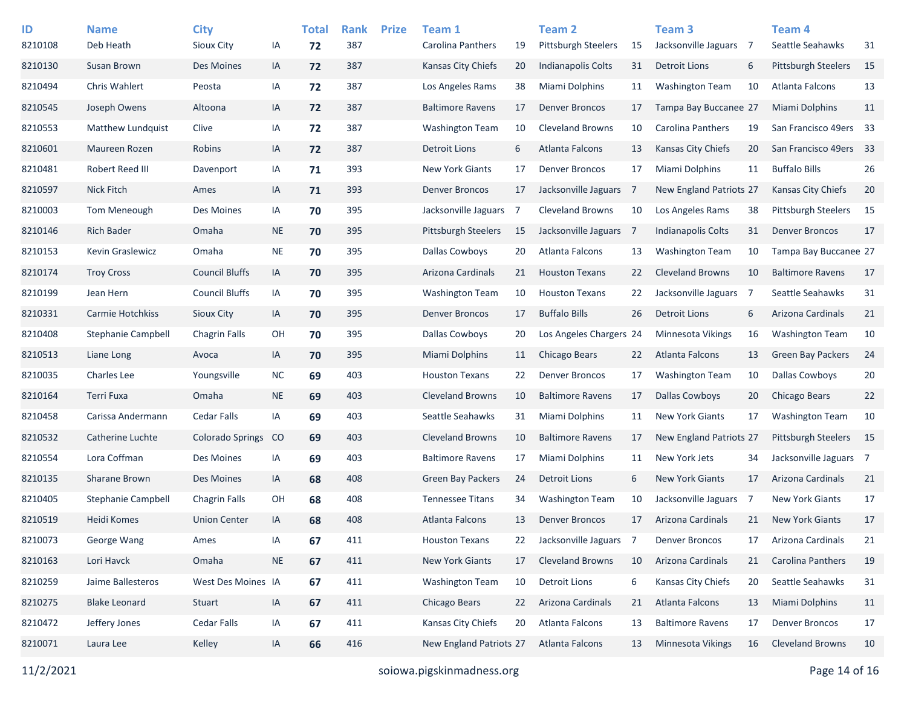| ID      | <b>Name</b>               | <b>City</b>             |               | <b>Total</b> | <b>Rank</b> | <b>Prize</b> | Team 1                     |    | <b>Team 2</b>              |                | Team 3                    |                | Team <sub>4</sub>          |    |
|---------|---------------------------|-------------------------|---------------|--------------|-------------|--------------|----------------------------|----|----------------------------|----------------|---------------------------|----------------|----------------------------|----|
| 8210108 | Deb Heath                 | Sioux City              | IA            | 72           | 387         |              | Carolina Panthers          | 19 | <b>Pittsburgh Steelers</b> | 15             | Jacksonville Jaguars      | $\overline{7}$ | Seattle Seahawks           | 31 |
| 8210130 | Susan Brown               | Des Moines              | IA            | 72           | 387         |              | Kansas City Chiefs         | 20 | <b>Indianapolis Colts</b>  | 31             | <b>Detroit Lions</b>      | 6              | Pittsburgh Steelers        | 15 |
| 8210494 | <b>Chris Wahlert</b>      | Peosta                  | IA            | 72           | 387         |              | Los Angeles Rams           | 38 | <b>Miami Dolphins</b>      | 11             | <b>Washington Team</b>    | 10             | Atlanta Falcons            | 13 |
| 8210545 | Joseph Owens              | Altoona                 | IA            | 72           | 387         |              | <b>Baltimore Ravens</b>    | 17 | <b>Denver Broncos</b>      | 17             | Tampa Bay Buccanee 27     |                | Miami Dolphins             | 11 |
| 8210553 | Matthew Lundquist         | Clive                   | IA            | 72           | 387         |              | <b>Washington Team</b>     | 10 | <b>Cleveland Browns</b>    | 10             | Carolina Panthers         | 19             | San Francisco 49ers 33     |    |
| 8210601 | Maureen Rozen             | Robins                  | IA            | 72           | 387         |              | <b>Detroit Lions</b>       | 6  | Atlanta Falcons            | 13             | Kansas City Chiefs        | 20             | San Francisco 49ers 33     |    |
| 8210481 | Robert Reed III           | Davenport               | IA            | 71           | 393         |              | <b>New York Giants</b>     | 17 | <b>Denver Broncos</b>      | 17             | Miami Dolphins            | 11             | <b>Buffalo Bills</b>       | 26 |
| 8210597 | <b>Nick Fitch</b>         | Ames                    | IA            | 71           | 393         |              | <b>Denver Broncos</b>      | 17 | Jacksonville Jaguars       | $\overline{7}$ | New England Patriots 27   |                | <b>Kansas City Chiefs</b>  | 20 |
| 8210003 | Tom Meneough              | Des Moines              | IA            | 70           | 395         |              | Jacksonville Jaguars       | -7 | <b>Cleveland Browns</b>    | 10             | Los Angeles Rams          | 38             | <b>Pittsburgh Steelers</b> | 15 |
| 8210146 | <b>Rich Bader</b>         | Omaha                   | <b>NE</b>     | 70           | 395         |              | <b>Pittsburgh Steelers</b> | 15 | Jacksonville Jaguars 7     |                | <b>Indianapolis Colts</b> | 31             | <b>Denver Broncos</b>      | 17 |
| 8210153 | Kevin Graslewicz          | Omaha                   | NE            | 70           | 395         |              | Dallas Cowboys             | 20 | Atlanta Falcons            | 13             | <b>Washington Team</b>    | 10             | Tampa Bay Buccanee 27      |    |
| 8210174 | <b>Troy Cross</b>         | <b>Council Bluffs</b>   | IA            | 70           | 395         |              | Arizona Cardinals          | 21 | <b>Houston Texans</b>      | 22             | <b>Cleveland Browns</b>   | 10             | <b>Baltimore Ravens</b>    | 17 |
| 8210199 | Jean Hern                 | <b>Council Bluffs</b>   | IA            | 70           | 395         |              | <b>Washington Team</b>     | 10 | <b>Houston Texans</b>      | 22             | Jacksonville Jaguars      | $\overline{7}$ | Seattle Seahawks           | 31 |
| 8210331 | Carmie Hotchkiss          | <b>Sioux City</b>       | IA            | 70           | 395         |              | <b>Denver Broncos</b>      | 17 | <b>Buffalo Bills</b>       | 26             | <b>Detroit Lions</b>      | 6              | Arizona Cardinals          | 21 |
| 8210408 | <b>Stephanie Campbell</b> | <b>Chagrin Falls</b>    | OH            | 70           | 395         |              | <b>Dallas Cowboys</b>      | 20 | Los Angeles Chargers 24    |                | <b>Minnesota Vikings</b>  | 16             | <b>Washington Team</b>     | 10 |
| 8210513 | Liane Long                | Avoca                   | IA            | 70           | 395         |              | Miami Dolphins             | 11 | Chicago Bears              | 22             | Atlanta Falcons           | 13             | <b>Green Bay Packers</b>   | 24 |
| 8210035 | <b>Charles Lee</b>        | Youngsville             | <b>NC</b>     | 69           | 403         |              | <b>Houston Texans</b>      | 22 | <b>Denver Broncos</b>      | 17             | <b>Washington Team</b>    | 10             | <b>Dallas Cowboys</b>      | 20 |
| 8210164 | Terri Fuxa                | Omaha                   | <b>NE</b>     | 69           | 403         |              | <b>Cleveland Browns</b>    | 10 | <b>Baltimore Ravens</b>    | 17             | <b>Dallas Cowboys</b>     | 20             | <b>Chicago Bears</b>       | 22 |
| 8210458 | Carissa Andermann         | <b>Cedar Falls</b>      | IA            | 69           | 403         |              | Seattle Seahawks           | 31 | <b>Miami Dolphins</b>      | 11             | <b>New York Giants</b>    | 17             | <b>Washington Team</b>     | 10 |
| 8210532 | Catherine Luchte          | <b>Colorado Springs</b> | <sub>co</sub> | 69           | 403         |              | <b>Cleveland Browns</b>    | 10 | <b>Baltimore Ravens</b>    | 17             | New England Patriots 27   |                | <b>Pittsburgh Steelers</b> | 15 |
| 8210554 | Lora Coffman              | Des Moines              | IA            | 69           | 403         |              | <b>Baltimore Ravens</b>    | 17 | Miami Dolphins             | 11             | New York Jets             | 34             | Jacksonville Jaguars 7     |    |
| 8210135 | Sharane Brown             | Des Moines              | IA            | 68           | 408         |              | <b>Green Bay Packers</b>   | 24 | <b>Detroit Lions</b>       | 6              | <b>New York Giants</b>    | 17             | Arizona Cardinals          | 21 |
| 8210405 | Stephanie Campbell        | <b>Chagrin Falls</b>    | OН            | 68           | 408         |              | <b>Tennessee Titans</b>    | 34 | <b>Washington Team</b>     | 10             | Jacksonville Jaguars      | $\overline{7}$ | <b>New York Giants</b>     | 17 |
| 8210519 | Heidi Komes               | <b>Union Center</b>     | IA            | 68           | 408         |              | Atlanta Falcons            | 13 | <b>Denver Broncos</b>      | 17             | Arizona Cardinals         | 21             | <b>New York Giants</b>     | 17 |
| 8210073 | George Wang               | Ames                    | IA            | 67           | 411         |              | <b>Houston Texans</b>      | 22 | Jacksonville Jaguars 7     |                | <b>Denver Broncos</b>     | 17             | Arizona Cardinals          | 21 |
| 8210163 | Lori Havck                | Omaha                   | <b>NE</b>     | 67           | 411         |              | New York Giants            | 17 | <b>Cleveland Browns</b>    | 10             | Arizona Cardinals         | 21             | Carolina Panthers          | 19 |
| 8210259 | Jaime Ballesteros         | West Des Moines IA      |               | 67           | 411         |              | <b>Washington Team</b>     | 10 | <b>Detroit Lions</b>       | 6              | Kansas City Chiefs        | 20             | Seattle Seahawks           | 31 |
| 8210275 | <b>Blake Leonard</b>      | Stuart                  | IA            | 67           | 411         |              | Chicago Bears              | 22 | Arizona Cardinals          | 21             | Atlanta Falcons           | 13             | Miami Dolphins             | 11 |
| 8210472 | Jeffery Jones             | Cedar Falls             | IA            | 67           | 411         |              | Kansas City Chiefs         | 20 | Atlanta Falcons            | 13             | <b>Baltimore Ravens</b>   | 17             | <b>Denver Broncos</b>      | 17 |
| 8210071 | Laura Lee                 | Kelley                  | IA            | 66           | 416         |              | New England Patriots 27    |    | Atlanta Falcons            | 13             | Minnesota Vikings         | 16             | <b>Cleveland Browns</b>    | 10 |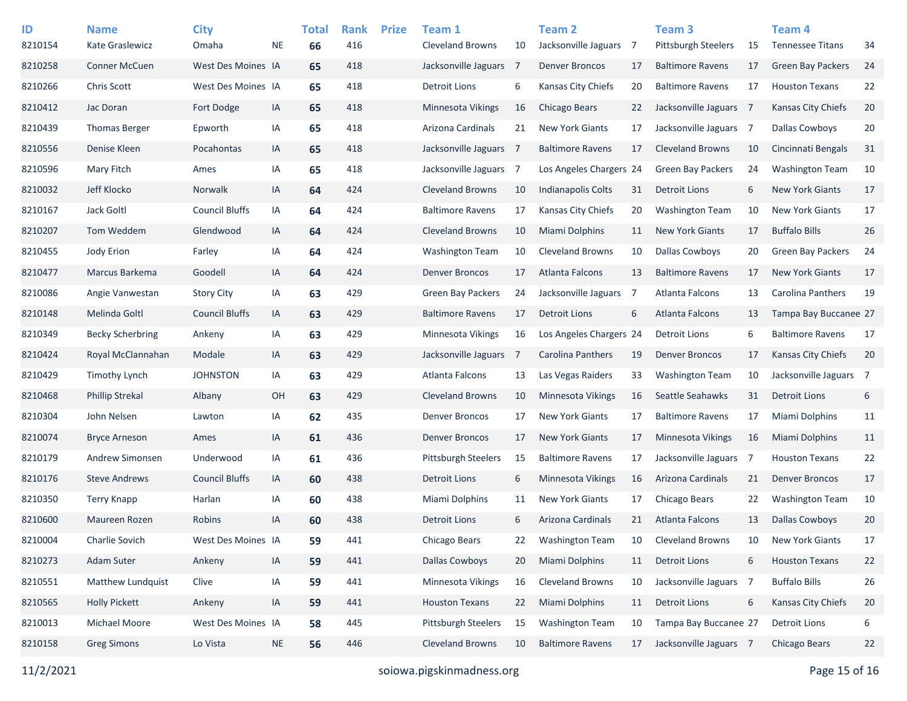| ID<br>8210154 | <b>Name</b><br>Kate Graslewicz | <b>City</b><br>Omaha  | <b>NE</b> | <b>Total</b><br>66 | <b>Rank</b><br>416 | <b>Prize</b> | Team 1<br><b>Cleveland Browns</b> | 10  | <b>Team 2</b><br>Jacksonville Jaguars 7 |                | Team <sub>3</sub><br>Pittsburgh Steelers | 15             | Team <sub>4</sub><br><b>Tennessee Titans</b> | 34 |
|---------------|--------------------------------|-----------------------|-----------|--------------------|--------------------|--------------|-----------------------------------|-----|-----------------------------------------|----------------|------------------------------------------|----------------|----------------------------------------------|----|
| 8210258       | <b>Conner McCuen</b>           | West Des Moines IA    |           | 65                 | 418                |              | Jacksonville Jaguars              | 7   | <b>Denver Broncos</b>                   | 17             | <b>Baltimore Ravens</b>                  | 17             | <b>Green Bay Packers</b>                     | 24 |
| 8210266       | <b>Chris Scott</b>             | West Des Moines IA    |           | 65                 | 418                |              | <b>Detroit Lions</b>              | 6   | Kansas City Chiefs                      | 20             | <b>Baltimore Ravens</b>                  | 17             | <b>Houston Texans</b>                        | 22 |
| 8210412       | Jac Doran                      | Fort Dodge            | IA        | 65                 | 418                |              | Minnesota Vikings                 | 16  | Chicago Bears                           | 22             | Jacksonville Jaguars 7                   |                | <b>Kansas City Chiefs</b>                    | 20 |
| 8210439       | <b>Thomas Berger</b>           | Epworth               | IA        | 65                 | 418                |              | Arizona Cardinals                 | 21  | <b>New York Giants</b>                  | 17             | Jacksonville Jaguars 7                   |                | <b>Dallas Cowboys</b>                        | 20 |
| 8210556       | Denise Kleen                   | Pocahontas            | IA        | 65                 | 418                |              | Jacksonville Jaguars 7            |     | <b>Baltimore Ravens</b>                 | 17             | <b>Cleveland Browns</b>                  | 10             | Cincinnati Bengals                           | 31 |
| 8210596       | Mary Fitch                     | Ames                  | IA        | 65                 | 418                |              | Jacksonville Jaguars              | -7  | Los Angeles Chargers 24                 |                | <b>Green Bay Packers</b>                 | 24             | <b>Washington Team</b>                       | 10 |
| 8210032       | Jeff Klocko                    | Norwalk               | IA        | 64                 | 424                |              | <b>Cleveland Browns</b>           | 10  | <b>Indianapolis Colts</b>               | 31             | <b>Detroit Lions</b>                     | 6              | <b>New York Giants</b>                       | 17 |
| 8210167       | Jack Goltl                     | <b>Council Bluffs</b> | IA        | 64                 | 424                |              | <b>Baltimore Ravens</b>           | 17  | Kansas City Chiefs                      | 20             | <b>Washington Team</b>                   | 10             | <b>New York Giants</b>                       | 17 |
| 8210207       | Tom Weddem                     | Glendwood             | IA        | 64                 | 424                |              | <b>Cleveland Browns</b>           | 10  | <b>Miami Dolphins</b>                   | 11             | <b>New York Giants</b>                   | 17             | <b>Buffalo Bills</b>                         | 26 |
| 8210455       | Jody Erion                     | Farley                | IA        | 64                 | 424                |              | <b>Washington Team</b>            | 10  | <b>Cleveland Browns</b>                 | 10             | <b>Dallas Cowboys</b>                    | 20             | <b>Green Bay Packers</b>                     | 24 |
| 8210477       | Marcus Barkema                 | Goodell               | IA        | 64                 | 424                |              | <b>Denver Broncos</b>             | 17  | Atlanta Falcons                         | 13             | <b>Baltimore Ravens</b>                  | 17             | <b>New York Giants</b>                       | 17 |
| 8210086       | Angie Vanwestan                | <b>Story City</b>     | IA        | 63                 | 429                |              | <b>Green Bay Packers</b>          | 24  | Jacksonville Jaguars                    | $\overline{7}$ | <b>Atlanta Falcons</b>                   | 13             | Carolina Panthers                            | 19 |
| 8210148       | Melinda Goltl                  | <b>Council Bluffs</b> | IA        | 63                 | 429                |              | <b>Baltimore Ravens</b>           | 17  | <b>Detroit Lions</b>                    | 6              | Atlanta Falcons                          | 13             | Tampa Bay Buccanee 27                        |    |
| 8210349       | <b>Becky Scherbring</b>        | Ankeny                | IA        | 63                 | 429                |              | Minnesota Vikings                 | 16  | Los Angeles Chargers 24                 |                | <b>Detroit Lions</b>                     | 6              | <b>Baltimore Ravens</b>                      | 17 |
| 8210424       | Royal McClannahan              | Modale                | IA        | 63                 | 429                |              | Jacksonville Jaguars              | - 7 | Carolina Panthers                       | 19             | <b>Denver Broncos</b>                    | 17             | <b>Kansas City Chiefs</b>                    | 20 |
| 8210429       | <b>Timothy Lynch</b>           | <b>JOHNSTON</b>       | IA        | 63                 | 429                |              | Atlanta Falcons                   | 13  | Las Vegas Raiders                       | 33             | <b>Washington Team</b>                   | 10             | Jacksonville Jaguars 7                       |    |
| 8210468       | <b>Phillip Strekal</b>         | Albany                | OH        | 63                 | 429                |              | <b>Cleveland Browns</b>           | 10  | <b>Minnesota Vikings</b>                | 16             | Seattle Seahawks                         | 31             | <b>Detroit Lions</b>                         | 6  |
| 8210304       | John Nelsen                    | Lawton                | IA        | 62                 | 435                |              | <b>Denver Broncos</b>             | 17  | <b>New York Giants</b>                  | 17             | <b>Baltimore Ravens</b>                  | 17             | Miami Dolphins                               | 11 |
| 8210074       | <b>Bryce Arneson</b>           | Ames                  | IA        | 61                 | 436                |              | <b>Denver Broncos</b>             | 17  | <b>New York Giants</b>                  | 17             | <b>Minnesota Vikings</b>                 | 16             | <b>Miami Dolphins</b>                        | 11 |
| 8210179       | Andrew Simonsen                | Underwood             | IA        | 61                 | 436                |              | <b>Pittsburgh Steelers</b>        | 15  | <b>Baltimore Ravens</b>                 | 17             | Jacksonville Jaguars                     | $\overline{7}$ | <b>Houston Texans</b>                        | 22 |
| 8210176       | <b>Steve Andrews</b>           | <b>Council Bluffs</b> | IA        | 60                 | 438                |              | <b>Detroit Lions</b>              | 6   | <b>Minnesota Vikings</b>                | 16             | Arizona Cardinals                        | 21             | <b>Denver Broncos</b>                        | 17 |
| 8210350       | <b>Terry Knapp</b>             | Harlan                | IA        | 60                 | 438                |              | Miami Dolphins                    | 11  | <b>New York Giants</b>                  | 17             | Chicago Bears                            | 22             | <b>Washington Team</b>                       | 10 |
| 8210600       | Maureen Rozen                  | Robins                | IA        | 60                 | 438                |              | <b>Detroit Lions</b>              | 6   | Arizona Cardinals                       | 21             | Atlanta Falcons                          | 13             | <b>Dallas Cowboys</b>                        | 20 |
| 8210004       | Charlie Sovich                 | West Des Moines IA    |           | 59                 | 441                |              | Chicago Bears                     | 22  | <b>Washington Team</b>                  | 10             | <b>Cleveland Browns</b>                  | 10             | <b>New York Giants</b>                       | 17 |
| 8210273       | Adam Suter                     | Ankeny                | IA        | 59                 | 441                |              | <b>Dallas Cowboys</b>             | 20  | Miami Dolphins                          | 11             | <b>Detroit Lions</b>                     | 6              | <b>Houston Texans</b>                        | 22 |
| 8210551       | Matthew Lundquist              | Clive                 | IA        | 59                 | 441                |              | Minnesota Vikings                 | 16  | <b>Cleveland Browns</b>                 | 10             | Jacksonville Jaguars 7                   |                | <b>Buffalo Bills</b>                         | 26 |
| 8210565       | <b>Holly Pickett</b>           | Ankeny                | IA        | 59                 | 441                |              | <b>Houston Texans</b>             | 22  | Miami Dolphins                          | 11             | <b>Detroit Lions</b>                     | 6              | Kansas City Chiefs                           | 20 |
| 8210013       | Michael Moore                  | West Des Moines IA    |           | 58                 | 445                |              | <b>Pittsburgh Steelers</b>        | 15  | <b>Washington Team</b>                  | 10             | Tampa Bay Buccanee 27                    |                | <b>Detroit Lions</b>                         | 6  |
| 8210158       | <b>Greg Simons</b>             | Lo Vista              | <b>NE</b> | 56                 | 446                |              | <b>Cleveland Browns</b>           | 10  | <b>Baltimore Ravens</b>                 | 17             | Jacksonville Jaguars 7                   |                | Chicago Bears                                | 22 |